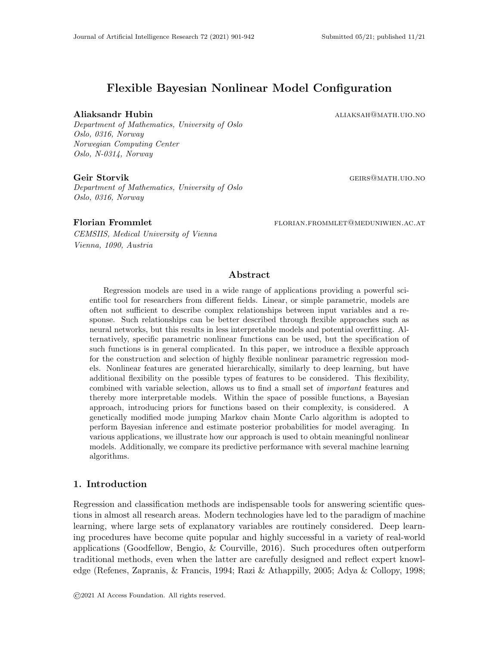# Flexible Bayesian Nonlinear Model Configuration

#### Aliaksandr Hubin aliaksah@math.uio.no

Department of Mathematics, University of Oslo Oslo, 0316, Norway Norwegian Computing Center Oslo, N-0314, Norway

#### Geir Storvik GEIRS@MATH.UIO.NO

Department of Mathematics, University of Oslo Oslo, 0316, Norway

CEMSIIS, Medical University of Vienna Vienna, 1090, Austria

Florian Frommlet **FLORIAN.FROMMLET@MEDUNIWIEN.AC.AT** 

## Abstract

Regression models are used in a wide range of applications providing a powerful scientific tool for researchers from different fields. Linear, or simple parametric, models are often not sufficient to describe complex relationships between input variables and a response. Such relationships can be better described through flexible approaches such as neural networks, but this results in less interpretable models and potential overfitting. Alternatively, specific parametric nonlinear functions can be used, but the specification of such functions is in general complicated. In this paper, we introduce a flexible approach for the construction and selection of highly flexible nonlinear parametric regression models. Nonlinear features are generated hierarchically, similarly to deep learning, but have additional flexibility on the possible types of features to be considered. This flexibility, combined with variable selection, allows us to find a small set of important features and thereby more interpretable models. Within the space of possible functions, a Bayesian approach, introducing priors for functions based on their complexity, is considered. A genetically modified mode jumping Markov chain Monte Carlo algorithm is adopted to perform Bayesian inference and estimate posterior probabilities for model averaging. In various applications, we illustrate how our approach is used to obtain meaningful nonlinear models. Additionally, we compare its predictive performance with several machine learning algorithms.

## 1. Introduction

Regression and classification methods are indispensable tools for answering scientific questions in almost all research areas. Modern technologies have led to the paradigm of machine learning, where large sets of explanatory variables are routinely considered. Deep learning procedures have become quite popular and highly successful in a variety of real-world applications (Goodfellow, Bengio, & Courville, 2016). Such procedures often outperform traditional methods, even when the latter are carefully designed and reflect expert knowledge (Refenes, Zapranis, & Francis, 1994; Razi & Athappilly, 2005; Adya & Collopy, 1998;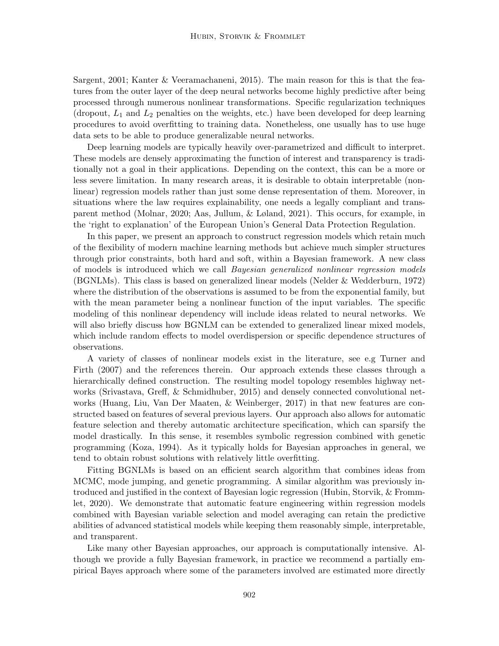Sargent, 2001; Kanter & Veeramachaneni, 2015). The main reason for this is that the features from the outer layer of the deep neural networks become highly predictive after being processed through numerous nonlinear transformations. Specific regularization techniques (dropout,  $L_1$  and  $L_2$  penalties on the weights, etc.) have been developed for deep learning procedures to avoid overfitting to training data. Nonetheless, one usually has to use huge data sets to be able to produce generalizable neural networks.

Deep learning models are typically heavily over-parametrized and difficult to interpret. These models are densely approximating the function of interest and transparency is traditionally not a goal in their applications. Depending on the context, this can be a more or less severe limitation. In many research areas, it is desirable to obtain interpretable (nonlinear) regression models rather than just some dense representation of them. Moreover, in situations where the law requires explainability, one needs a legally compliant and transparent method (Molnar, 2020; Aas, Jullum, & Løland, 2021). This occurs, for example, in the 'right to explanation' of the European Union's General Data Protection Regulation.

In this paper, we present an approach to construct regression models which retain much of the flexibility of modern machine learning methods but achieve much simpler structures through prior constraints, both hard and soft, within a Bayesian framework. A new class of models is introduced which we call Bayesian generalized nonlinear regression models (BGNLMs). This class is based on generalized linear models (Nelder & Wedderburn, 1972) where the distribution of the observations is assumed to be from the exponential family, but with the mean parameter being a nonlinear function of the input variables. The specific modeling of this nonlinear dependency will include ideas related to neural networks. We will also briefly discuss how BGNLM can be extended to generalized linear mixed models, which include random effects to model overdispersion or specific dependence structures of observations.

A variety of classes of nonlinear models exist in the literature, see e.g Turner and Firth (2007) and the references therein. Our approach extends these classes through a hierarchically defined construction. The resulting model topology resembles highway networks (Srivastava, Greff, & Schmidhuber, 2015) and densely connected convolutional networks (Huang, Liu, Van Der Maaten, & Weinberger, 2017) in that new features are constructed based on features of several previous layers. Our approach also allows for automatic feature selection and thereby automatic architecture specification, which can sparsify the model drastically. In this sense, it resembles symbolic regression combined with genetic programming (Koza, 1994). As it typically holds for Bayesian approaches in general, we tend to obtain robust solutions with relatively little overfitting.

Fitting BGNLMs is based on an efficient search algorithm that combines ideas from MCMC, mode jumping, and genetic programming. A similar algorithm was previously introduced and justified in the context of Bayesian logic regression (Hubin, Storvik, & Frommlet, 2020). We demonstrate that automatic feature engineering within regression models combined with Bayesian variable selection and model averaging can retain the predictive abilities of advanced statistical models while keeping them reasonably simple, interpretable, and transparent.

Like many other Bayesian approaches, our approach is computationally intensive. Although we provide a fully Bayesian framework, in practice we recommend a partially empirical Bayes approach where some of the parameters involved are estimated more directly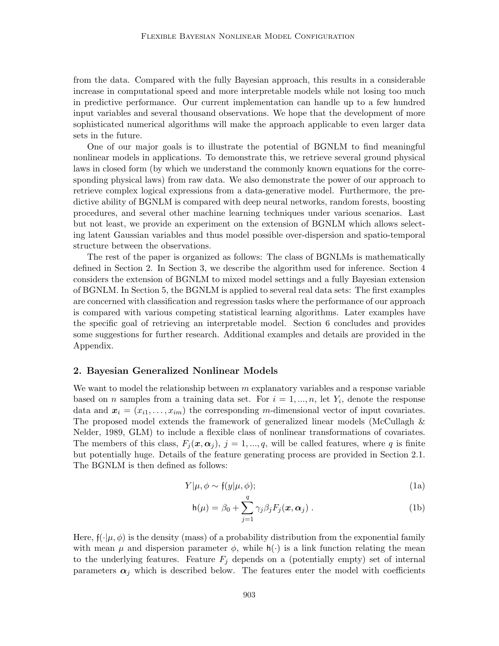from the data. Compared with the fully Bayesian approach, this results in a considerable increase in computational speed and more interpretable models while not losing too much in predictive performance. Our current implementation can handle up to a few hundred input variables and several thousand observations. We hope that the development of more sophisticated numerical algorithms will make the approach applicable to even larger data sets in the future.

One of our major goals is to illustrate the potential of BGNLM to find meaningful nonlinear models in applications. To demonstrate this, we retrieve several ground physical laws in closed form (by which we understand the commonly known equations for the corresponding physical laws) from raw data. We also demonstrate the power of our approach to retrieve complex logical expressions from a data-generative model. Furthermore, the predictive ability of BGNLM is compared with deep neural networks, random forests, boosting procedures, and several other machine learning techniques under various scenarios. Last but not least, we provide an experiment on the extension of BGNLM which allows selecting latent Gaussian variables and thus model possible over-dispersion and spatio-temporal structure between the observations.

The rest of the paper is organized as follows: The class of BGNLMs is mathematically defined in Section 2. In Section 3, we describe the algorithm used for inference. Section 4 considers the extension of BGNLM to mixed model settings and a fully Bayesian extension of BGNLM. In Section 5, the BGNLM is applied to several real data sets: The first examples are concerned with classification and regression tasks where the performance of our approach is compared with various competing statistical learning algorithms. Later examples have the specific goal of retrieving an interpretable model. Section 6 concludes and provides some suggestions for further research. Additional examples and details are provided in the Appendix.

#### 2. Bayesian Generalized Nonlinear Models

We want to model the relationship between  $m$  explanatory variables and a response variable based on *n* samples from a training data set. For  $i = 1, ..., n$ , let  $Y_i$ , denote the response data and  $x_i = (x_{i1}, \ldots, x_{im})$  the corresponding m-dimensional vector of input covariates. The proposed model extends the framework of generalized linear models (McCullagh & Nelder, 1989, GLM) to include a flexible class of nonlinear transformations of covariates. The members of this class,  $F_i(\mathbf{x}, \alpha_i)$ ,  $j = 1, ..., q$ , will be called features, where q is finite but potentially huge. Details of the feature generating process are provided in Section 2.1. The BGNLM is then defined as follows:

$$
Y|\mu, \phi \sim \mathfrak{f}(y|\mu, \phi); \tag{1a}
$$

$$
h(\mu) = \beta_0 + \sum_{j=1}^q \gamma_j \beta_j F_j(\boldsymbol{x}, \boldsymbol{\alpha}_j) .
$$
 (1b)

Here,  $\mathfrak{f}(\cdot|\mu,\phi)$  is the density (mass) of a probability distribution from the exponential family with mean  $\mu$  and dispersion parameter  $\phi$ , while  $h(\cdot)$  is a link function relating the mean to the underlying features. Feature  $F_j$  depends on a (potentially empty) set of internal parameters  $\alpha_i$  which is described below. The features enter the model with coefficients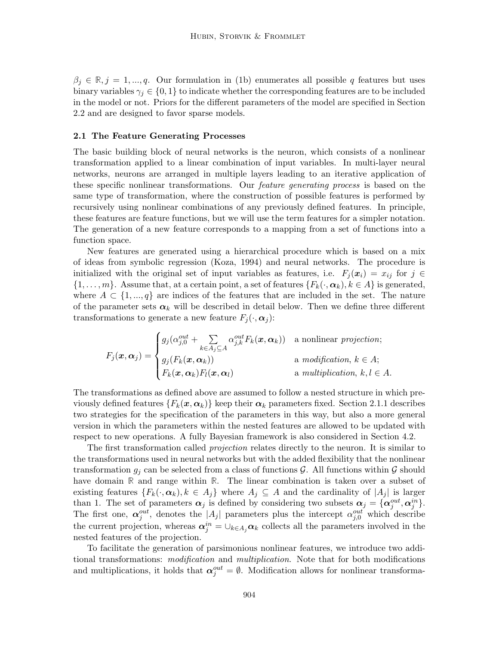$\beta_j \in \mathbb{R}, j = 1, ..., q$ . Our formulation in (1b) enumerates all possible q features but uses binary variables  $\gamma_i \in \{0,1\}$  to indicate whether the corresponding features are to be included in the model or not. Priors for the different parameters of the model are specified in Section 2.2 and are designed to favor sparse models.

#### 2.1 The Feature Generating Processes

The basic building block of neural networks is the neuron, which consists of a nonlinear transformation applied to a linear combination of input variables. In multi-layer neural networks, neurons are arranged in multiple layers leading to an iterative application of these specific nonlinear transformations. Our *feature generating process* is based on the same type of transformation, where the construction of possible features is performed by recursively using nonlinear combinations of any previously defined features. In principle, these features are feature functions, but we will use the term features for a simpler notation. The generation of a new feature corresponds to a mapping from a set of functions into a function space.

New features are generated using a hierarchical procedure which is based on a mix of ideas from symbolic regression (Koza, 1994) and neural networks. The procedure is initialized with the original set of input variables as features, i.e.  $F_i(x_i) = x_{ij}$  for  $j \in$  $\{1,\ldots,m\}$ . Assume that, at a certain point, a set of features  $\{F_k(\cdot,\alpha_k), k\in A\}$  is generated, where  $A \subset \{1, ..., q\}$  are indices of the features that are included in the set. The nature of the parameter sets  $\alpha_k$  will be described in detail below. Then we define three different transformations to generate a new feature  $F_j(\cdot, \alpha_j)$ :

$$
F_j(\boldsymbol{x}, \boldsymbol{\alpha}_j) = \begin{cases} g_j(\alpha_{j,0}^{out} + \sum_{k \in A_j \subseteq A} \alpha_{j,k}^{out} F_k(\boldsymbol{x}, \boldsymbol{\alpha}_k)) & \text{a nonlinear projection;} \\ g_j(F_k(\boldsymbol{x}, \boldsymbol{\alpha}_k)) & \text{a modification, } k \in A; \\ F_k(\boldsymbol{x}, \boldsymbol{\alpha}_k) F_l(\boldsymbol{x}, \boldsymbol{\alpha}_l) & \text{a multiplication, } k, l \in A. \end{cases}
$$

The transformations as defined above are assumed to follow a nested structure in which previously defined features  $\{F_k(\bm{x}, \bm{\alpha}_k)\}\$ keep their  $\bm{\alpha}_k$  parameters fixed. Section 2.1.1 describes two strategies for the specification of the parameters in this way, but also a more general version in which the parameters within the nested features are allowed to be updated with respect to new operations. A fully Bayesian framework is also considered in Section 4.2.

The first transformation called *projection* relates directly to the neuron. It is similar to the transformations used in neural networks but with the added flexibility that the nonlinear transformation  $g_j$  can be selected from a class of functions  $\mathcal{G}$ . All functions within  $\mathcal{G}$  should have domain **R** and range within **R**. The linear combination is taken over a subset of existing features  $\{F_k(\cdot,\alpha_k), k \in A_j\}$  where  $A_j \subseteq A$  and the cardinality of  $|A_j|$  is larger than 1. The set of parameters  $\alpha_j$  is defined by considering two subsets  $\alpha_j = {\alpha_j^{out}, \alpha_j^{in}}.$ The first one,  $\alpha_j^{out}$ , denotes the  $|A_j|$  parameters plus the intercept  $\alpha_{j,0}^{out}$  which describe the current projection, whereas  $\alpha_j^{in} = \bigcup_{k \in A_j} \alpha_k$  collects all the parameters involved in the nested features of the projection.

To facilitate the generation of parsimonious nonlinear features, we introduce two additional transformations: modification and multiplication. Note that for both modifications and multiplications, it holds that  $\alpha_j^{out} = \emptyset$ . Modification allows for nonlinear transforma-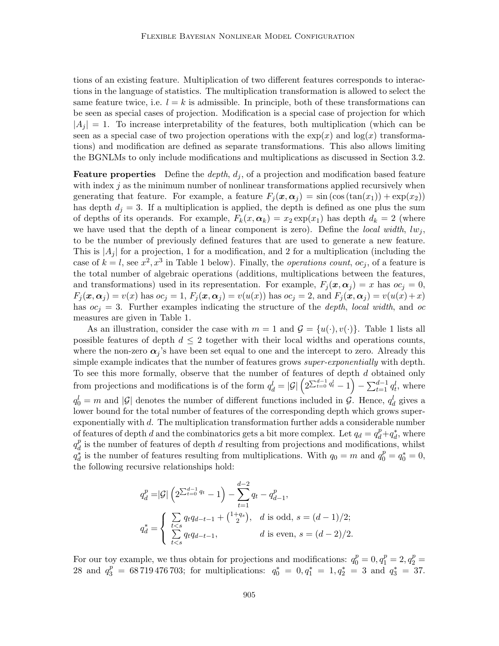tions of an existing feature. Multiplication of two different features corresponds to interactions in the language of statistics. The multiplication transformation is allowed to select the same feature twice, i.e.  $l = k$  is admissible. In principle, both of these transformations can be seen as special cases of projection. Modification is a special case of projection for which  $|A_j| = 1$ . To increase interpretability of the features, both multiplication (which can be seen as a special case of two projection operations with the  $exp(x)$  and  $log(x)$  transformations) and modification are defined as separate transformations. This also allows limiting the BGNLMs to only include modifications and multiplications as discussed in Section 3.2.

**Feature properties** Define the *depth*,  $d_i$ , of a projection and modification based feature with index  $j$  as the minimum number of nonlinear transformations applied recursively when generating that feature. For example, a feature  $F_i(x, \alpha_i) = \sin(\cos(\tan(x_1)) + \exp(x_2))$ has depth  $d_i = 3$ . If a multiplication is applied, the depth is defined as one plus the sum of depths of its operands. For example,  $F_k(x, \alpha_k) = x_2 \exp(x_1)$  has depth  $d_k = 2$  (where we have used that the depth of a linear component is zero). Define the local width,  $lw_i$ , to be the number of previously defined features that are used to generate a new feature. This is  $|A_i|$  for a projection, 1 for a modification, and 2 for a multiplication (including the case of  $k = l$ , see  $x^2, x^3$  in Table 1 below). Finally, the *operations count*,  $oc_j$ , of a feature is the total number of algebraic operations (additions, multiplications between the features, and transformations) used in its representation. For example,  $F_i(\mathbf{x}, \alpha_i) = x$  has  $oc_i = 0$ ,  $F_i(\mathbf{x}, \alpha_j) = v(x)$  has  $oc_j = 1$ ,  $F_i(\mathbf{x}, \alpha_j) = v(u(x))$  has  $oc_j = 2$ , and  $F_i(\mathbf{x}, \alpha_j) = v(u(x) + x)$ has  $oc<sub>i</sub> = 3$ . Further examples indicating the structure of the *depth*, local width, and oc measures are given in Table 1.

As an illustration, consider the case with  $m = 1$  and  $\mathcal{G} = \{u(\cdot), v(\cdot)\}\)$ . Table 1 lists all possible features of depth  $d \leq 2$  together with their local widths and operations counts, where the non-zero  $\alpha_j$ 's have been set equal to one and the intercept to zero. Already this simple example indicates that the number of features grows *super-exponentially* with depth. To see this more formally, observe that the number of features of depth d obtained only from projections and modifications is of the form  $q_d^l = |\mathcal{G}| \left( 2^{\sum_{t=0}^{d-1} q_t^l} - 1 \right) - \sum_{t=1}^{d-1} q_t^l$ , where  $q_0^l = m$  and |G| denotes the number of different functions included in G. Hence,  $q_d^l$  gives a lower bound for the total number of features of the corresponding depth which grows superexponentially with d. The multiplication transformation further adds a considerable number of features of depth d and the combinatorics gets a bit more complex. Let  $q_d = q_d^p + q_d^*$ , where  $q_d^p$  $\frac{p}{d}$  is the number of features of depth d resulting from projections and modifications, whilst  $q_d^*$  is the number of features resulting from multiplications. With  $q_0 = m$  and  $q_0^p = q_0^* = 0$ , the following recursive relationships hold:

$$
q_d^p = |\mathcal{G}| \left( 2^{\sum_{t=0}^{d-1} q_t} - 1 \right) - \sum_{t=1}^{d-2} q_t - q_{d-1}^p,
$$
  

$$
q_d^* = \begin{cases} \sum_{t < s} q_t q_{d-t-1} + \binom{1+q_s}{2}, & d \text{ is odd, } s = (d-1)/2; \\ \sum_{t < s} q_t q_{d-t-1}, & d \text{ is even, } s = (d-2)/2. \end{cases}
$$

For our toy example, we thus obtain for projections and modifications:  $q_0^p = 0, q_1^p = 2, q_2^p = 1$ 28 and  $q_3^p = 68\,719\,476\,703$ ; for multiplications:  $q_0^* = 0, q_1^* = 1, q_2^* = 3$  and  $q_3^* = 37$ .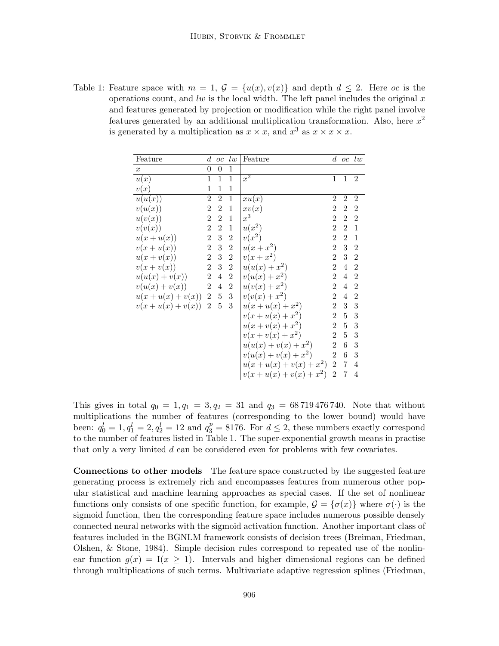Table 1: Feature space with  $m = 1$ ,  $\mathcal{G} = \{u(x), v(x)\}\$ and depth  $d \leq 2$ . Here oc is the operations count, and lw is the local width. The left panel includes the original  $x$ and features generated by projection or modification while the right panel involve features generated by an additional multiplication transformation. Also, here  $x^2$ is generated by a multiplication as  $x \times x$ , and  $x^3$  as  $x \times x \times x$ .

| Feature              | $\boldsymbol{d}$ | $\overline{oc}$  | $\iota w$        | Feature                | $d_{\cdot}$    |                  | $oc \, l w$    |
|----------------------|------------------|------------------|------------------|------------------------|----------------|------------------|----------------|
| $\boldsymbol{x}$     | 0                | $\theta$         | 1                |                        |                |                  |                |
| u(x)                 | 1                | $\mathbf{1}$     | $\mathbf{1}$     | $x^2$                  | 1              | $\mathbf{1}$     | $\overline{2}$ |
| v(x)                 | 1                | 1                | $\mathbf{1}$     |                        |                |                  |                |
| u(u(x))              | $\overline{2}$   | $\overline{2}$   | $\mathbf{1}$     | xu(x)                  | $\overline{2}$ | $\overline{2}$   | $\overline{2}$ |
| v(u(x))              | $\sqrt{2}$       | $\boldsymbol{2}$ | $\mathbf{1}$     | xv(x)                  | 2              | $\boldsymbol{2}$ | $\overline{2}$ |
| u(v(x))              | $\,2$            | $\boldsymbol{2}$ | 1                | $x^3\,$                | $\overline{2}$ | $\overline{2}$   | $\overline{2}$ |
| v(v(x))              | $\,2$            | $\overline{2}$   | $\mathbf{1}$     | $u(x^2)$               | $\overline{2}$ | $\overline{2}$   | $\mathbf{1}$   |
| $u(x+u(x))$          | $\sqrt{2}$       | $\sqrt{3}$       | $\sqrt{2}$       | $v(x^2)$               | $\overline{2}$ | $\overline{2}$   | $\mathbf{1}$   |
| $v(x+u(x))$          | $\sqrt{2}$       | $\sqrt{3}$       | $\boldsymbol{2}$ | $u(x+x^2)$             | $\overline{2}$ | 3                | $\overline{2}$ |
| $u(x+v(x))$          | $\,2$            | $\sqrt{3}$       | $\boldsymbol{2}$ | $v(x+x^2)$             | $\overline{2}$ | 3                | $\overline{2}$ |
| $v(x+v(x))$          | $\sqrt{2}$       | $\sqrt{3}$       | $\boldsymbol{2}$ | $u(u(x)+x^2)$          | $\overline{2}$ | 4                | $\overline{2}$ |
| $u(u(x) + v(x))$     | $\,2$            | $\,4\,$          | $\sqrt{2}$       | $v(u(x) + x^2)$        | $\overline{2}$ | $\overline{4}$   | $\overline{2}$ |
| $v(u(x) + v(x))$     | $\,2$            | $\,4\,$          | $\sqrt{2}$       | $u(v(x) + x^2)$        | $\overline{2}$ | 4                | $\overline{2}$ |
| $u(x + u(x) + v(x))$ | $\,2$            | $\bf 5$          | $\sqrt{3}$       | $v(v(x) + x^2)$        | $\overline{2}$ | 4                | $\overline{2}$ |
| $v(x + u(x) + v(x))$ | $\overline{2}$   | $\overline{5}$   | 3                | $u(x+u(x)+x^2)$        | $\overline{2}$ | 3                | $\sqrt{3}$     |
|                      |                  |                  |                  | $v(x+u(x)+x^2)$        | $\,2$          | $\overline{5}$   | 3              |
|                      |                  |                  |                  | $u(x + v(x) + x^2)$    | $\overline{2}$ | $\overline{5}$   | 3              |
|                      |                  |                  |                  | $v(x+v(x)+x^2)$        | $\overline{2}$ | 5                | $\sqrt{3}$     |
|                      |                  |                  |                  | $u(u(x) + v(x) + x^2)$ | $\overline{2}$ | $\overline{6}$   | 3              |
|                      |                  |                  |                  | $v(u(x) + v(x) + x^2)$ | $\overline{2}$ | $\boldsymbol{6}$ | 3              |
|                      |                  |                  |                  | $u(x+u(x)+v(x)+x^2)$   | $\overline{2}$ | $\overline{7}$   | $\overline{4}$ |
|                      |                  |                  |                  | $v(x+u(x)+v(x)+x^2)$   | $\,2$          | $\overline{7}$   | $\overline{4}$ |

This gives in total  $q_0 = 1, q_1 = 3, q_2 = 31$  and  $q_3 = 68719476740$ . Note that without multiplications the number of features (corresponding to the lower bound) would have been:  $q_0^l = 1, q_1^l = 2, q_2^l = 12$  and  $q_3^p = 8176$ . For  $d \le 2$ , these numbers exactly correspond to the number of features listed in Table 1. The super-exponential growth means in practise that only a very limited  $d$  can be considered even for problems with few covariates.

Connections to other models The feature space constructed by the suggested feature generating process is extremely rich and encompasses features from numerous other popular statistical and machine learning approaches as special cases. If the set of nonlinear functions only consists of one specific function, for example,  $\mathcal{G} = {\sigma(x)}$  where  $\sigma(\cdot)$  is the sigmoid function, then the corresponding feature space includes numerous possible densely connected neural networks with the sigmoid activation function. Another important class of features included in the BGNLM framework consists of decision trees (Breiman, Friedman, Olshen, & Stone, 1984). Simple decision rules correspond to repeated use of the nonlinear function  $g(x) = I(x \ge 1)$ . Intervals and higher dimensional regions can be defined through multiplications of such terms. Multivariate adaptive regression splines (Friedman,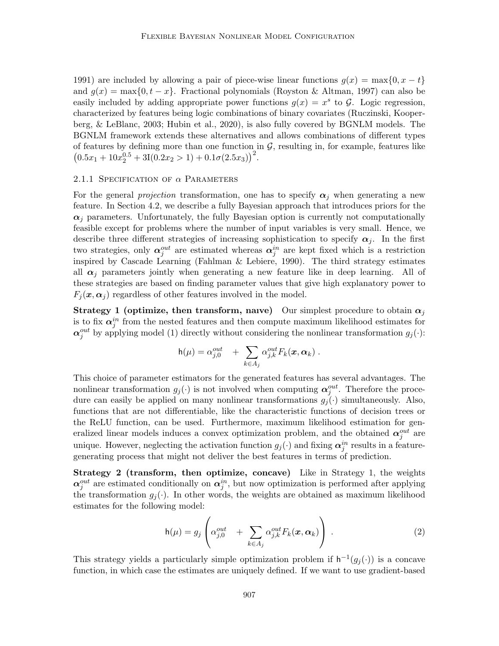1991) are included by allowing a pair of piece-wise linear functions  $g(x) = \max\{0, x - t\}$ and  $q(x) = \max\{0, t - x\}$ . Fractional polynomials (Royston & Altman, 1997) can also be easily included by adding appropriate power functions  $g(x) = x^s$  to  $\mathcal{G}$ . Logic regression, characterized by features being logic combinations of binary covariates (Ruczinski, Kooperberg, & LeBlanc, 2003; Hubin et al., 2020), is also fully covered by BGNLM models. The BGNLM framework extends these alternatives and allows combinations of different types of features by defining more than one function in  $G$ , resulting in, for example, features like  $(0.5x_1 + 10x_2^{0.5} + 3I(0.2x_2 > 1) + 0.1\sigma(2.5x_3))^2$ .

#### 2.1.1 SPECIFICATION OF  $\alpha$  PARAMETERS

For the general projection transformation, one has to specify  $\alpha_i$  when generating a new feature. In Section 4.2, we describe a fully Bayesian approach that introduces priors for the  $\alpha_i$  parameters. Unfortunately, the fully Bayesian option is currently not computationally feasible except for problems where the number of input variables is very small. Hence, we describe three different strategies of increasing sophistication to specify  $\alpha_j$ . In the first two strategies, only  $\alpha_j^{out}$  are estimated whereas  $\alpha_j^{in}$  are kept fixed which is a restriction inspired by Cascade Learning (Fahlman & Lebiere, 1990). The third strategy estimates all  $\alpha_j$  parameters jointly when generating a new feature like in deep learning. All of these strategies are based on finding parameter values that give high explanatory power to  $F_i(\mathbf{x}, \alpha_i)$  regardless of other features involved in the model.

Strategy 1 (optimize, then transform, naive) Our simplest procedure to obtain  $\alpha_i$ is to fix  $\alpha_j^{in}$  from the nested features and then compute maximum likelihood estimates for  $\alpha_j^{out}$  by applying model (1) directly without considering the nonlinear transformation  $g_j(\cdot)$ :

$$
h(\mu) = \alpha_{j,0}^{out} + \sum_{k \in A_j} \alpha_{j,k}^{out} F_k(\boldsymbol{x}, \boldsymbol{\alpha}_k) .
$$

This choice of parameter estimators for the generated features has several advantages. The nonlinear transformation  $g_j(\cdot)$  is not involved when computing  $\alpha_j^{out}$ . Therefore the procedure can easily be applied on many nonlinear transformations  $g_i(\cdot)$  simultaneously. Also, functions that are not differentiable, like the characteristic functions of decision trees or the ReLU function, can be used. Furthermore, maximum likelihood estimation for generalized linear models induces a convex optimization problem, and the obtained  $\alpha_j^{out}$  are unique. However, neglecting the activation function  $g_j(\cdot)$  and fixing  $\alpha_j^{in}$  results in a featuregenerating process that might not deliver the best features in terms of prediction.

Strategy 2 (transform, then optimize, concave) Like in Strategy 1, the weights  $\alpha_j^{out}$  are estimated conditionally on  $\alpha_j^{in}$ , but now optimization is performed after applying the transformation  $g_i(\cdot)$ . In other words, the weights are obtained as maximum likelihood estimates for the following model:

$$
h(\mu) = g_j \left( \alpha_{j,0}^{out} + \sum_{k \in A_j} \alpha_{j,k}^{out} F_k(\boldsymbol{x}, \boldsymbol{\alpha}_k) \right).
$$
 (2)

This strategy yields a particularly simple optimization problem if  $h^{-1}(g_j(\cdot))$  is a concave function, in which case the estimates are uniquely defined. If we want to use gradient-based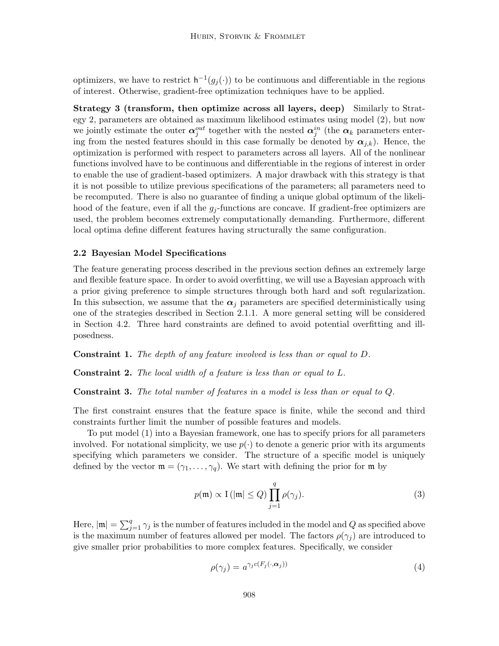optimizers, we have to restrict  $\mathsf{h}^{-1}(g_j(\cdot))$  to be continuous and differentiable in the regions of interest. Otherwise, gradient-free optimization techniques have to be applied.

Strategy 3 (transform, then optimize across all layers, deep) Similarly to Strategy 2, parameters are obtained as maximum likelihood estimates using model (2), but now we jointly estimate the outer  $\alpha_j^{out}$  together with the nested  $\alpha_j^{in}$  (the  $\alpha_k$  parameters entering from the nested features should in this case formally be denoted by  $\alpha_{j,k}$ ). Hence, the optimization is performed with respect to parameters across all layers. All of the nonlinear functions involved have to be continuous and differentiable in the regions of interest in order to enable the use of gradient-based optimizers. A major drawback with this strategy is that it is not possible to utilize previous specifications of the parameters; all parameters need to be recomputed. There is also no guarantee of finding a unique global optimum of the likelihood of the feature, even if all the  $g_j$ -functions are concave. If gradient-free optimizers are used, the problem becomes extremely computationally demanding. Furthermore, different local optima define different features having structurally the same configuration.

#### 2.2 Bayesian Model Specifications

The feature generating process described in the previous section defines an extremely large and flexible feature space. In order to avoid overfitting, we will use a Bayesian approach with a prior giving preference to simple structures through both hard and soft regularization. In this subsection, we assume that the  $\alpha_i$  parameters are specified deterministically using one of the strategies described in Section 2.1.1. A more general setting will be considered in Section 4.2. Three hard constraints are defined to avoid potential overfitting and illposedness.

Constraint 1. The depth of any feature involved is less than or equal to D.

Constraint 2. The local width of a feature is less than or equal to L.

Constraint 3. The total number of features in a model is less than or equal to Q.

The first constraint ensures that the feature space is finite, while the second and third constraints further limit the number of possible features and models.

To put model (1) into a Bayesian framework, one has to specify priors for all parameters involved. For notational simplicity, we use  $p(\cdot)$  to denote a generic prior with its arguments specifying which parameters we consider. The structure of a specific model is uniquely defined by the vector  $\mathfrak{m} = (\gamma_1, \ldots, \gamma_q)$ . We start with defining the prior for  $\mathfrak{m}$  by

$$
p(\mathfrak{m}) \propto \mathcal{I}(|\mathfrak{m}| \le Q) \prod_{j=1}^{q} \rho(\gamma_j).
$$
 (3)

Here,  $|\mathfrak{m}| = \sum_{j=1}^q \gamma_j$  is the number of features included in the model and Q as specified above is the maximum number of features allowed per model. The factors  $\rho(\gamma_i)$  are introduced to give smaller prior probabilities to more complex features. Specifically, we consider

$$
\rho(\gamma_j) = a^{\gamma_j c(F_j(\cdot, \alpha_j))} \tag{4}
$$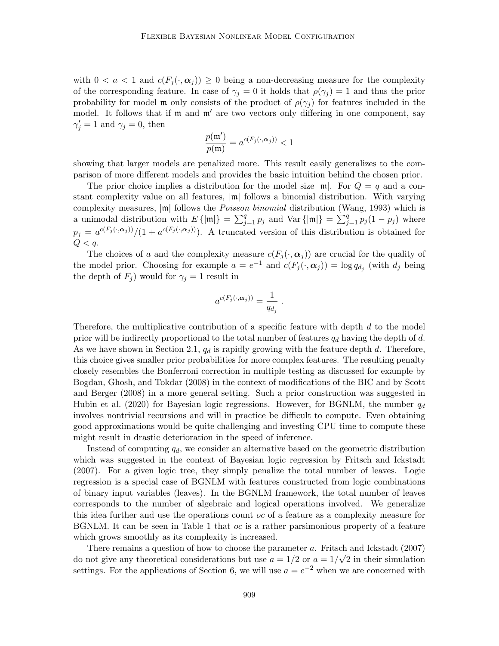with  $0 < a < 1$  and  $c(F_i(\cdot, \alpha_i)) \geq 0$  being a non-decreasing measure for the complexity of the corresponding feature. In case of  $\gamma_i = 0$  it holds that  $\rho(\gamma_i) = 1$  and thus the prior probability for model m only consists of the product of  $\rho(\gamma_i)$  for features included in the model. It follows that if  $m$  and  $m'$  are two vectors only differing in one component, say  $\gamma'_j = 1$  and  $\gamma_j = 0$ , then

$$
\frac{p(\mathfrak{m}')}{p(\mathfrak{m})} = a^{c(F_j(\cdot,\alpha_j))} < 1
$$

showing that larger models are penalized more. This result easily generalizes to the comparison of more different models and provides the basic intuition behind the chosen prior.

The prior choice implies a distribution for the model size  $|\mathfrak{m}|$ . For  $Q = q$  and a constant complexity value on all features,  $|\mathfrak{m}|$  follows a binomial distribution. With varying complexity measures,  $|m|$  follows the *Poisson binomial* distribution (Wang, 1993) which is a unimodal distribution with  $E\{|\mathfrak{m}|\} = \sum_{j=1}^q p_j$  and  $Var\{|\mathfrak{m}|\} = \sum_{j=1}^q p_j (1-p_j)$  where  $p_j = a^{c(F_j(\cdot, \alpha_j))}/(1 + a^{c(F_j(\cdot, \alpha_j))})$ . A truncated version of this distribution is obtained for  $Q < q$ .

The choices of a and the complexity measure  $c(F_i(\cdot, \alpha_i))$  are crucial for the quality of the model prior. Choosing for example  $a = e^{-1}$  and  $c(F_j(\cdot, \alpha_j)) = \log q_{d_j}$  (with  $d_j$  being the depth of  $F_j$ ) would for  $\gamma_j = 1$  result in

$$
a^{c(F_j(\cdot,\boldsymbol{\alpha}_j))} = \frac{1}{q_{d_j}}.
$$

Therefore, the multiplicative contribution of a specific feature with depth  $d$  to the model prior will be indirectly proportional to the total number of features  $q_d$  having the depth of d. As we have shown in Section 2.1,  $q_d$  is rapidly growing with the feature depth d. Therefore, this choice gives smaller prior probabilities for more complex features. The resulting penalty closely resembles the Bonferroni correction in multiple testing as discussed for example by Bogdan, Ghosh, and Tokdar (2008) in the context of modifications of the BIC and by Scott and Berger (2008) in a more general setting. Such a prior construction was suggested in Hubin et al. (2020) for Bayesian logic regressions. However, for BGNLM, the number  $q_d$ involves nontrivial recursions and will in practice be difficult to compute. Even obtaining good approximations would be quite challenging and investing CPU time to compute these might result in drastic deterioration in the speed of inference.

Instead of computing  $q_d$ , we consider an alternative based on the geometric distribution which was suggested in the context of Bayesian logic regression by Fritsch and Ickstadt (2007). For a given logic tree, they simply penalize the total number of leaves. Logic regression is a special case of BGNLM with features constructed from logic combinations of binary input variables (leaves). In the BGNLM framework, the total number of leaves corresponds to the number of algebraic and logical operations involved. We generalize this idea further and use the operations count oc of a feature as a complexity measure for BGNLM. It can be seen in Table 1 that  $oc$  is a rather parsimonious property of a feature which grows smoothly as its complexity is increased.

There remains a question of how to choose the parameter  $a$ . Fritsch and Ickstadt (2007) do not give any theoretical considerations but use  $a = 1/2$  or  $a = 1/\sqrt{2}$  in their simulation settings. For the applications of Section 6, we will use  $a = e^{-2}$  when we are concerned with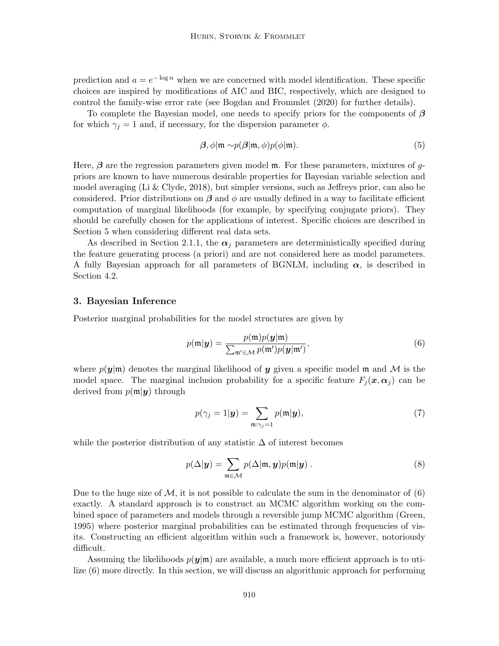prediction and  $a = e^{-\log n}$  when we are concerned with model identification. These specific choices are inspired by modifications of AIC and BIC, respectively, which are designed to control the family-wise error rate (see Bogdan and Frommlet (2020) for further details).

To complete the Bayesian model, one needs to specify priors for the components of  $\beta$ for which  $\gamma_j = 1$  and, if necessary, for the dispersion parameter  $\phi$ .

$$
\beta, \phi | \mathfrak{m} \sim p(\beta | \mathfrak{m}, \phi) p(\phi | \mathfrak{m}). \tag{5}
$$

Here,  $\beta$  are the regression parameters given model  $\mathfrak{m}$ . For these parameters, mixtures of qpriors are known to have numerous desirable properties for Bayesian variable selection and model averaging (Li & Clyde, 2018), but simpler versions, such as Jeffreys prior, can also be considered. Prior distributions on  $\beta$  and  $\phi$  are usually defined in a way to facilitate efficient computation of marginal likelihoods (for example, by specifying conjugate priors). They should be carefully chosen for the applications of interest. Specific choices are described in Section 5 when considering different real data sets.

As described in Section 2.1.1, the  $\alpha_i$  parameters are deterministically specified during the feature generating process (a priori) and are not considered here as model parameters. A fully Bayesian approach for all parameters of BGNLM, including  $\alpha$ , is described in Section 4.2.

#### 3. Bayesian Inference

Posterior marginal probabilities for the model structures are given by

$$
p(\mathfrak{m}|\mathbf{y}) = \frac{p(\mathfrak{m})p(\mathbf{y}|\mathfrak{m})}{\sum_{\mathfrak{m}' \in \mathcal{M}} p(\mathfrak{m}')p(\mathbf{y}|\mathfrak{m}')} ,
$$
 (6)

where  $p(\mathbf{y}|\mathbf{m})$  denotes the marginal likelihood of y given a specific model m and M is the model space. The marginal inclusion probability for a specific feature  $F_i(\mathbf{x}, \alpha_i)$  can be derived from  $p(m|\mathbf{y})$  through

$$
p(\gamma_j = 1 | \mathbf{y}) = \sum_{\mathfrak{m}: \gamma_j = 1} p(\mathfrak{m} | \mathbf{y}), \tag{7}
$$

while the posterior distribution of any statistic  $\Delta$  of interest becomes

$$
p(\Delta|\mathbf{y}) = \sum_{\mathbf{m}\in\mathcal{M}} p(\Delta|\mathbf{m}, \mathbf{y}) p(\mathbf{m}|\mathbf{y}).
$$
\n(8)

Due to the huge size of  $\mathcal{M}$ , it is not possible to calculate the sum in the denominator of (6) exactly. A standard approach is to construct an MCMC algorithm working on the combined space of parameters and models through a reversible jump MCMC algorithm (Green, 1995) where posterior marginal probabilities can be estimated through frequencies of visits. Constructing an efficient algorithm within such a framework is, however, notoriously difficult.

Assuming the likelihoods  $p(y|m)$  are available, a much more efficient approach is to utilize (6) more directly. In this section, we will discuss an algorithmic approach for performing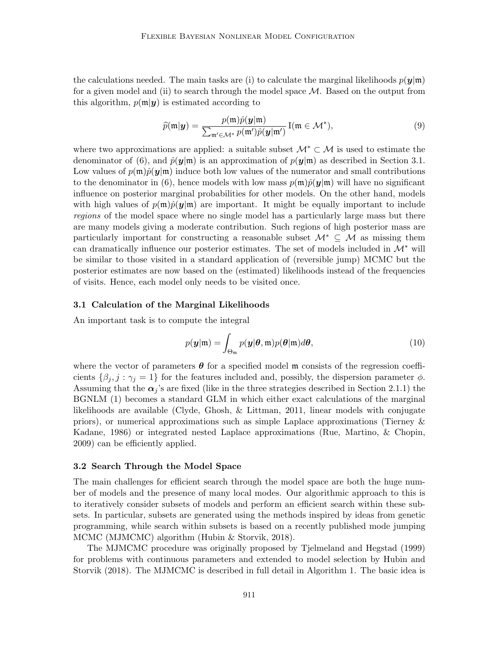the calculations needed. The main tasks are (i) to calculate the marginal likelihoods  $p(\mathbf{y}|\mathbf{m})$ for a given model and (ii) to search through the model space  $\mathcal{M}$ . Based on the output from this algorithm,  $p(\mathfrak{m}|\mathbf{y})$  is estimated according to

$$
\widehat{p}(\mathfrak{m}|\mathbf{y}) = \frac{p(\mathfrak{m})\widehat{p}(\mathbf{y}|\mathfrak{m})}{\sum_{\mathfrak{m}' \in \mathcal{M}^*} p(\mathfrak{m}')\widehat{p}(\mathbf{y}|\mathfrak{m}')} \mathbf{I}(\mathfrak{m} \in \mathcal{M}^*),
$$
\n(9)

where two approximations are applied: a suitable subset  $\mathcal{M}^* \subset \mathcal{M}$  is used to estimate the denominator of (6), and  $\hat{p}(y|\mathfrak{m})$  is an approximation of  $p(y|\mathfrak{m})$  as described in Section 3.1. Low values of  $p(\mathbf{m})\hat{p}(\mathbf{y}|\mathbf{m})$  induce both low values of the numerator and small contributions to the denominator in (6), hence models with low mass  $p(\mathfrak{m})\hat{p}(\mathbf{y}|\mathfrak{m})$  will have no significant influence on posterior marginal probabilities for other models. On the other hand, models with high values of  $p(\mathbf{m})\hat{p}(\mathbf{y}|\mathbf{m})$  are important. It might be equally important to include regions of the model space where no single model has a particularly large mass but there are many models giving a moderate contribution. Such regions of high posterior mass are particularly important for constructing a reasonable subset  $\mathcal{M}^* \subseteq \mathcal{M}$  as missing them can dramatically influence our posterior estimates. The set of models included in  $\mathcal{M}^*$  will be similar to those visited in a standard application of (reversible jump) MCMC but the posterior estimates are now based on the (estimated) likelihoods instead of the frequencies of visits. Hence, each model only needs to be visited once.

#### 3.1 Calculation of the Marginal Likelihoods

An important task is to compute the integral

$$
p(\mathbf{y}|\mathfrak{m}) = \int_{\Theta_{\mathfrak{m}}} p(\mathbf{y}|\boldsymbol{\theta}, \mathfrak{m}) p(\boldsymbol{\theta}|\mathfrak{m}) d\boldsymbol{\theta},
$$
\n(10)

where the vector of parameters  $\theta$  for a specified model m consists of the regression coefficients  $\{\beta_j, j : \gamma_j = 1\}$  for the features included and, possibly, the dispersion parameter  $\phi$ . Assuming that the  $\alpha_i$ 's are fixed (like in the three strategies described in Section 2.1.1) the BGNLM (1) becomes a standard GLM in which either exact calculations of the marginal likelihoods are available (Clyde, Ghosh, & Littman, 2011, linear models with conjugate priors), or numerical approximations such as simple Laplace approximations (Tierney & Kadane, 1986) or integrated nested Laplace approximations (Rue, Martino, & Chopin, 2009) can be efficiently applied.

#### 3.2 Search Through the Model Space

The main challenges for efficient search through the model space are both the huge number of models and the presence of many local modes. Our algorithmic approach to this is to iteratively consider subsets of models and perform an efficient search within these subsets. In particular, subsets are generated using the methods inspired by ideas from genetic programming, while search within subsets is based on a recently published mode jumping MCMC (MJMCMC) algorithm (Hubin & Storvik, 2018).

The MJMCMC procedure was originally proposed by Tjelmeland and Hegstad (1999) for problems with continuous parameters and extended to model selection by Hubin and Storvik (2018). The MJMCMC is described in full detail in Algorithm 1. The basic idea is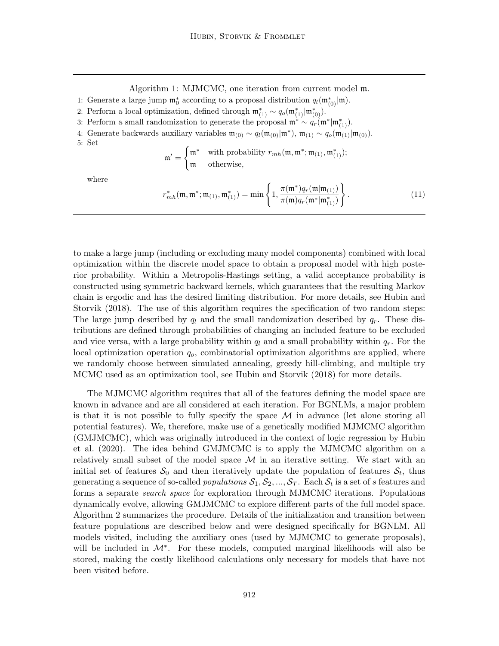Algorithm 1: MJMCMC, one iteration from current model m.

1: Generate a large jump  $\mathfrak{m}_0^*$  according to a proposal distribution  $q_l(\mathfrak{m}_{(0)}^*|\mathfrak{m})$ .

- 2: Perform a local optimization, defined through  $\mathfrak{m}_{(1)}^* \sim q_o(\mathfrak{m}_{(1)}^*|\mathfrak{m}_{(0)}^*).$
- 3: Perform a small randomization to generate the proposal  $\mathfrak{m}^* \sim q_r(\mathfrak{m}^* | \mathfrak{m}_{(1)}^*).$

4: Generate backwards auxiliary variables  $\mathfrak{m}_{(0)} \sim q_l(\mathfrak{m}_{(0)}|\mathfrak{m}^*)$ ,  $\mathfrak{m}_{(1)} \sim q_o(\mathfrak{m}_{(1)}|\mathfrak{m}_{(0)})$ .

5: Set

$$
\mathfrak{m}' = \begin{cases} \mathfrak{m}^* & \text{with probability } r_{mh}(\mathfrak{m}, \mathfrak{m}^*; \mathfrak{m}_{(1)}, \mathfrak{m}_{(1)}^*); \\ \mathfrak{m} & \text{otherwise,} \end{cases}
$$

where

$$
r_{mh}^{*}(\mathfrak{m}, \mathfrak{m}^{*}; \mathfrak{m}_{(1)}, \mathfrak{m}_{(1)}^{*}) = \min \left\{ 1, \frac{\pi(\mathfrak{m}^{*})q_{r}(\mathfrak{m}|\mathfrak{m}_{(1)})}{\pi(\mathfrak{m})q_{r}(\mathfrak{m}^{*}|\mathfrak{m}_{(1)}^{*})} \right\}.
$$
 (11)

to make a large jump (including or excluding many model components) combined with local optimization within the discrete model space to obtain a proposal model with high posterior probability. Within a Metropolis-Hastings setting, a valid acceptance probability is constructed using symmetric backward kernels, which guarantees that the resulting Markov chain is ergodic and has the desired limiting distribution. For more details, see Hubin and Storvik (2018). The use of this algorithm requires the specification of two random steps: The large jump described by  $q_l$  and the small randomization described by  $q_r$ . These distributions are defined through probabilities of changing an included feature to be excluded and vice versa, with a large probability within  $q_l$  and a small probability within  $q_r$ . For the local optimization operation  $q<sub>o</sub>$ , combinatorial optimization algorithms are applied, where we randomly choose between simulated annealing, greedy hill-climbing, and multiple try MCMC used as an optimization tool, see Hubin and Storvik (2018) for more details.

The MJMCMC algorithm requires that all of the features defining the model space are known in advance and are all considered at each iteration. For BGNLMs, a major problem is that it is not possible to fully specify the space  $\mathcal M$  in advance (let alone storing all potential features). We, therefore, make use of a genetically modified MJMCMC algorithm (GMJMCMC), which was originally introduced in the context of logic regression by Hubin et al. (2020). The idea behind GMJMCMC is to apply the MJMCMC algorithm on a relatively small subset of the model space  $\mathcal M$  in an iterative setting. We start with an initial set of features  $\mathcal{S}_0$  and then iteratively update the population of features  $\mathcal{S}_t$ , thus generating a sequence of so-called *populations*  $S_1, S_2, ..., S_T$ . Each  $S_t$  is a set of s features and forms a separate search space for exploration through MJMCMC iterations. Populations dynamically evolve, allowing GMJMCMC to explore different parts of the full model space. Algorithm 2 summarizes the procedure. Details of the initialization and transition between feature populations are described below and were designed specifically for BGNLM. All models visited, including the auxiliary ones (used by MJMCMC to generate proposals), will be included in  $M^*$ . For these models, computed marginal likelihoods will also be stored, making the costly likelihood calculations only necessary for models that have not been visited before.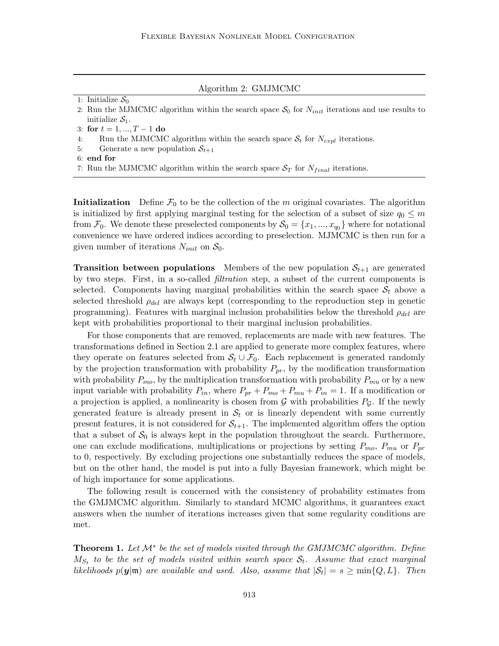Algorithm 2: GMJMCMC

1: Initialize  $S_0$ 

2: Run the MJMCMC algorithm within the search space  $S_0$  for  $N_{init}$  iterations and use results to initialize  $S_1$ .

3: for  $t = 1, ..., T - 1$  do

- 4: Run the MJMCMC algorithm within the search space  $S_t$  for  $N_{expl}$  iterations.
- 5: Generate a new population  $S_{t+1}$
- 6: end for
- 7: Run the MJMCMC algorithm within the search space  $S_T$  for  $N_{final}$  iterations.

**Initialization** Define  $\mathcal{F}_0$  to be the collection of the m original covariates. The algorithm is initialized by first applying marginal testing for the selection of a subset of size  $q_0 \leq m$ from  $\mathcal{F}_0$ . We denote these preselected components by  $\mathcal{S}_0 = \{x_1, ..., x_{q_0}\}$  where for notational convenience we have ordered indices according to preselection. MJMCMC is then run for a given number of iterations  $N_{init}$  on  $S_0$ .

**Transition between populations** Members of the new population  $S_{t+1}$  are generated by two steps. First, in a so-called *filtration* step, a subset of the current components is selected. Components having marginal probabilities within the search space  $S_t$  above a selected threshold  $\rho_{del}$  are always kept (corresponding to the reproduction step in genetic programming). Features with marginal inclusion probabilities below the threshold  $\rho_{del}$  are kept with probabilities proportional to their marginal inclusion probabilities.

For those components that are removed, replacements are made with new features. The transformations defined in Section 2.1 are applied to generate more complex features, where they operate on features selected from  $S_t \cup \mathcal{F}_0$ . Each replacement is generated randomly by the projection transformation with probability  $P_{pr}$ , by the modification transformation with probability  $P_{mo}$ , by the multiplication transformation with probability  $P_{mu}$  or by a new input variable with probability  $P_{in}$ , where  $P_{pr} + P_{mo} + P_{mu} + P_{in} = 1$ . If a modification or a projection is applied, a nonlinearity is chosen from  $G$  with probabilities  $P<sub>G</sub>$ . If the newly generated feature is already present in  $S_t$  or is linearly dependent with some currently present features, it is not considered for  $S_{t+1}$ . The implemented algorithm offers the option that a subset of  $S_0$  is always kept in the population throughout the search. Furthermore, one can exclude modifications, multiplications or projections by setting  $P_{mo}$ ,  $P_{mu}$  or  $P_{pr}$ to 0, respectively. By excluding projections one substantially reduces the space of models, but on the other hand, the model is put into a fully Bayesian framework, which might be of high importance for some applications.

The following result is concerned with the consistency of probability estimates from the GMJMCMC algorithm. Similarly to standard MCMC algorithms, it guarantees exact answers when the number of iterations increases given that some regularity conditions are met.

**Theorem 1.** Let  $\mathcal{M}^*$  be the set of models visited through the GMJMCMC algorithm. Define  $M_{S_t}$  to be the set of models visited within search space  $\mathcal{S}_t$ . Assume that exact marginal likelihoods  $p(\mathbf{y}|\mathfrak{m})$  are available and used. Also, assume that  $|\mathcal{S}_t| = s \ge \min\{Q, L\}$ . Then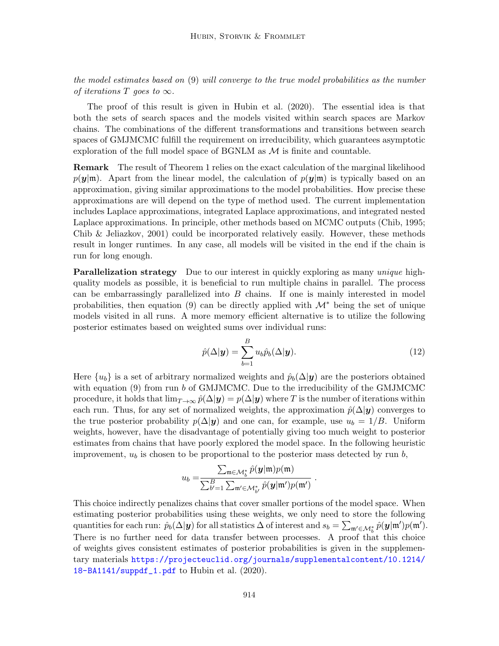the model estimates based on (9) will converge to the true model probabilities as the number of iterations T goes to  $\infty$ .

The proof of this result is given in Hubin et al. (2020). The essential idea is that both the sets of search spaces and the models visited within search spaces are Markov chains. The combinations of the different transformations and transitions between search spaces of GMJMCMC fulfill the requirement on irreducibility, which guarantees asymptotic exploration of the full model space of  $BGNLM$  as  $M$  is finite and countable.

Remark The result of Theorem 1 relies on the exact calculation of the marginal likelihood  $p(\mathbf{y}|\mathbf{m})$ . Apart from the linear model, the calculation of  $p(\mathbf{y}|\mathbf{m})$  is typically based on an approximation, giving similar approximations to the model probabilities. How precise these approximations are will depend on the type of method used. The current implementation includes Laplace approximations, integrated Laplace approximations, and integrated nested Laplace approximations. In principle, other methods based on MCMC outputs (Chib, 1995; Chib & Jeliazkov, 2001) could be incorporated relatively easily. However, these methods result in longer runtimes. In any case, all models will be visited in the end if the chain is run for long enough.

**Parallelization strategy** Due to our interest in quickly exploring as many *unique* highquality models as possible, it is beneficial to run multiple chains in parallel. The process can be embarrassingly parallelized into  $B$  chains. If one is mainly interested in model probabilities, then equation (9) can be directly applied with  $\mathcal{M}^*$  being the set of unique models visited in all runs. A more memory efficient alternative is to utilize the following posterior estimates based on weighted sums over individual runs:

$$
\hat{p}(\Delta|\mathbf{y}) = \sum_{b=1}^{B} u_b \hat{p}_b(\Delta|\mathbf{y}).
$$
\n(12)

.

Here  $\{u_b\}$  is a set of arbitrary normalized weights and  $\hat{p}_b(\Delta | \mathbf{y})$  are the posteriors obtained with equation  $(9)$  from run b of GMJMCMC. Due to the irreducibility of the GMJMCMC procedure, it holds that  $\lim_{T\to\infty} \hat{p}(\Delta | \mathbf{y}) = p(\Delta | \mathbf{y})$  where T is the number of iterations within each run. Thus, for any set of normalized weights, the approximation  $\hat{p}(\Delta | \mathbf{y})$  converges to the true posterior probability  $p(\Delta | y)$  and one can, for example, use  $u_b = 1/B$ . Uniform weights, however, have the disadvantage of potentially giving too much weight to posterior estimates from chains that have poorly explored the model space. In the following heuristic improvement,  $u<sub>b</sub>$  is chosen to be proportional to the posterior mass detected by run  $b$ ,

$$
u_b = \frac{\sum_{\mathfrak{m} \in \mathcal{M}_b^*} \hat{p}(\mathbf{y}|\mathfrak{m}) p(\mathfrak{m})}{\sum_{b'=1}^B \sum_{\mathfrak{m}' \in \mathcal{M}_{b'}^*} \hat{p}(\mathbf{y}|\mathfrak{m}') p(\mathfrak{m}') }
$$

This choice indirectly penalizes chains that cover smaller portions of the model space. When estimating posterior probabilities using these weights, we only need to store the following quantities for each run:  $\hat{p}_b(\Delta | \mathbf{y})$  for all statistics  $\Delta$  of interest and  $s_b = \sum_{\mathfrak{m}' \in \mathcal{M}^*_b} \hat{p}(\mathbf{y} | \mathfrak{m}')p(\mathfrak{m}').$ There is no further need for data transfer between processes. A proof that this choice of weights gives consistent estimates of posterior probabilities is given in the supplementary materials [https://projecteuclid.org/journals/supplementalcontent/10.1214/](https://projecteuclid.org/journals/supplementalcontent/10.1214/18-BA1141/suppdf_1.pdf) [18-BA1141/suppdf\\_1.pdf](https://projecteuclid.org/journals/supplementalcontent/10.1214/18-BA1141/suppdf_1.pdf) to Hubin et al. (2020).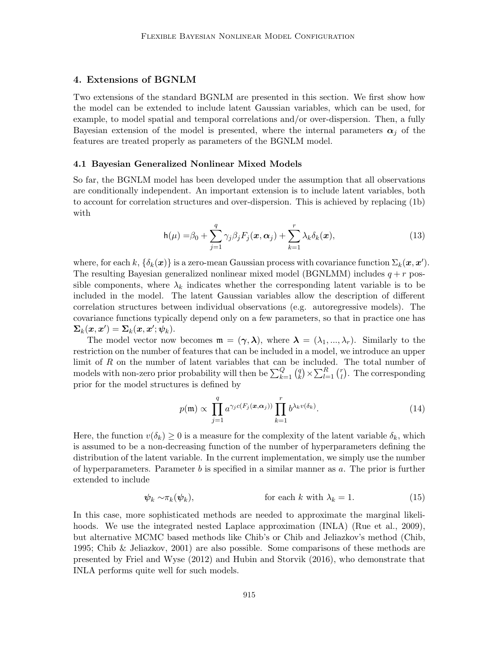## 4. Extensions of BGNLM

Two extensions of the standard BGNLM are presented in this section. We first show how the model can be extended to include latent Gaussian variables, which can be used, for example, to model spatial and temporal correlations and/or over-dispersion. Then, a fully Bayesian extension of the model is presented, where the internal parameters  $\alpha_i$  of the features are treated properly as parameters of the BGNLM model.

#### 4.1 Bayesian Generalized Nonlinear Mixed Models

So far, the BGNLM model has been developed under the assumption that all observations are conditionally independent. An important extension is to include latent variables, both to account for correlation structures and over-dispersion. This is achieved by replacing (1b) with

$$
h(\mu) = \beta_0 + \sum_{j=1}^q \gamma_j \beta_j F_j(\boldsymbol{x}, \boldsymbol{\alpha}_j) + \sum_{k=1}^r \lambda_k \delta_k(\boldsymbol{x}),
$$
\n(13)

where, for each k,  $\{\delta_k(\bm{x})\}$  is a zero-mean Gaussian process with covariance function  $\Sigma_k(\bm{x}, \bm{x}')$ . The resulting Bayesian generalized nonlinear mixed model (BGNLMM) includes  $q + r$  possible components, where  $\lambda_k$  indicates whether the corresponding latent variable is to be included in the model. The latent Gaussian variables allow the description of different correlation structures between individual observations (e.g. autoregressive models). The covariance functions typically depend only on a few parameters, so that in practice one has  $\mathbf{\Sigma}_k(\bm{x},\bm{x}') = \mathbf{\Sigma}_k(\bm{x},\bm{x}';\bm{\psi}_k).$ 

The model vector now becomes  $\mathfrak{m} = (\gamma, \lambda)$ , where  $\lambda = (\lambda_1, ..., \lambda_r)$ . Similarly to the restriction on the number of features that can be included in a model, we introduce an upper limit of R on the number of latent variables that can be included. The total number of models with non-zero prior probability will then be  $\sum_{k=1}^{Q} {q \choose k}$  $_{k}^{q}$   $\times$   $\sum_{l=1}^{R}$   $\binom{r}{l}$  $\binom{r}{l}$ . The corresponding prior for the model structures is defined by

$$
p(\mathfrak{m}) \propto \prod_{j=1}^{q} a^{\gamma_j c(F_j(\boldsymbol{x}, \boldsymbol{\alpha}_j))} \prod_{k=1}^{r} b^{\lambda_k v(\delta_k)}.
$$
 (14)

Here, the function  $v(\delta_k) \geq 0$  is a measure for the complexity of the latent variable  $\delta_k$ , which is assumed to be a non-decreasing function of the number of hyperparameters defining the distribution of the latent variable. In the current implementation, we simply use the number of hyperparameters. Parameter  $b$  is specified in a similar manner as  $a$ . The prior is further extended to include

$$
\psi_k \sim \pi_k(\psi_k), \qquad \text{for each } k \text{ with } \lambda_k = 1. \tag{15}
$$

In this case, more sophisticated methods are needed to approximate the marginal likelihoods. We use the integrated nested Laplace approximation (INLA) (Rue et al., 2009), but alternative MCMC based methods like Chib's or Chib and Jeliazkov's method (Chib, 1995; Chib & Jeliazkov, 2001) are also possible. Some comparisons of these methods are presented by Friel and Wyse (2012) and Hubin and Storvik (2016), who demonstrate that INLA performs quite well for such models.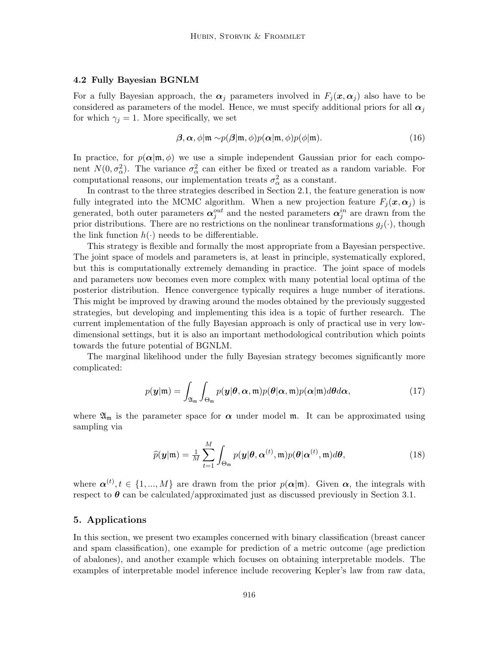#### 4.2 Fully Bayesian BGNLM

For a fully Bayesian approach, the  $\alpha_j$  parameters involved in  $F_j(x, \alpha_j)$  also have to be considered as parameters of the model. Hence, we must specify additional priors for all  $\alpha_i$ for which  $\gamma_i = 1$ . More specifically, we set

$$
\boldsymbol{\beta}, \boldsymbol{\alpha}, \phi | \mathfrak{m} \sim p(\boldsymbol{\beta} | \mathfrak{m}, \phi) p(\boldsymbol{\alpha} | \mathfrak{m}, \phi) p(\phi | \mathfrak{m}). \tag{16}
$$

In practice, for  $p(\alpha | \mathfrak{m}, \phi)$  we use a simple independent Gaussian prior for each component  $N(0, \sigma_{\alpha}^2)$ . The variance  $\sigma_{\alpha}^2$  can either be fixed or treated as a random variable. For computational reasons, our implementation treats  $\sigma_{\alpha}^2$  as a constant.

In contrast to the three strategies described in Section 2.1, the feature generation is now fully integrated into the MCMC algorithm. When a new projection feature  $F_i(\mathbf{x}, \alpha_i)$  is generated, both outer parameters  $\alpha_j^{out}$  and the nested parameters  $\alpha_j^{in}$  are drawn from the prior distributions. There are no restrictions on the nonlinear transformations  $g_i(\cdot)$ , though the link function  $h(\cdot)$  needs to be differentiable.

This strategy is flexible and formally the most appropriate from a Bayesian perspective. The joint space of models and parameters is, at least in principle, systematically explored, but this is computationally extremely demanding in practice. The joint space of models and parameters now becomes even more complex with many potential local optima of the posterior distribution. Hence convergence typically requires a huge number of iterations. This might be improved by drawing around the modes obtained by the previously suggested strategies, but developing and implementing this idea is a topic of further research. The current implementation of the fully Bayesian approach is only of practical use in very lowdimensional settings, but it is also an important methodological contribution which points towards the future potential of BGNLM.

The marginal likelihood under the fully Bayesian strategy becomes significantly more complicated:

$$
p(\mathbf{y}|\mathfrak{m}) = \int_{\mathfrak{A}_{\mathfrak{m}}} \int_{\Theta_{\mathfrak{m}}} p(\mathbf{y}|\boldsymbol{\theta}, \boldsymbol{\alpha}, \mathfrak{m}) p(\boldsymbol{\theta}|\boldsymbol{\alpha}, \mathfrak{m}) p(\boldsymbol{\alpha}|\mathfrak{m}) d\boldsymbol{\theta} d\boldsymbol{\alpha},
$$
\n(17)

where  $\mathfrak{A}_{\mathfrak{m}}$  is the parameter space for  $\alpha$  under model  $\mathfrak{m}$ . It can be approximated using sampling via

$$
\widehat{p}(\mathbf{y}|\mathfrak{m}) = \frac{1}{M} \sum_{t=1}^{M} \int_{\Theta_{\mathfrak{m}}} p(\mathbf{y}|\boldsymbol{\theta}, \boldsymbol{\alpha}^{(t)}, \mathfrak{m}) p(\boldsymbol{\theta}|\boldsymbol{\alpha}^{(t)}, \mathfrak{m}) d\boldsymbol{\theta},
$$
\n(18)

where  $\alpha^{(t)}, t \in \{1, ..., M\}$  are drawn from the prior  $p(\alpha|\mathfrak{m})$ . Given  $\alpha$ , the integrals with respect to  $\theta$  can be calculated/approximated just as discussed previously in Section 3.1.

## 5. Applications

In this section, we present two examples concerned with binary classification (breast cancer and spam classification), one example for prediction of a metric outcome (age prediction of abalones), and another example which focuses on obtaining interpretable models. The examples of interpretable model inference include recovering Kepler's law from raw data,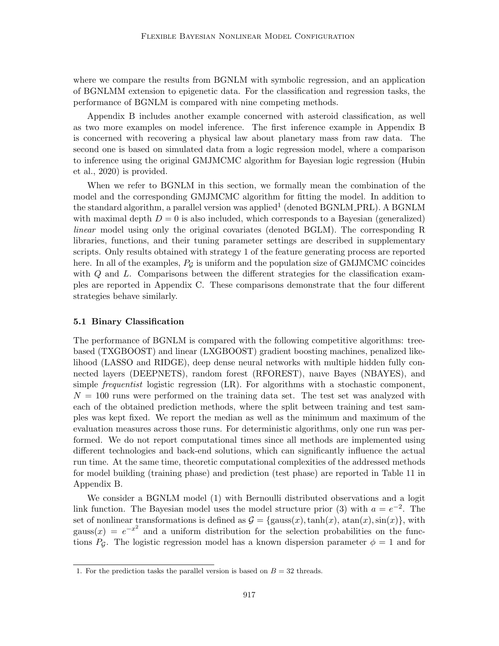where we compare the results from BGNLM with symbolic regression, and an application of BGNLMM extension to epigenetic data. For the classification and regression tasks, the performance of BGNLM is compared with nine competing methods.

Appendix B includes another example concerned with asteroid classification, as well as two more examples on model inference. The first inference example in Appendix B is concerned with recovering a physical law about planetary mass from raw data. The second one is based on simulated data from a logic regression model, where a comparison to inference using the original GMJMCMC algorithm for Bayesian logic regression (Hubin et al., 2020) is provided.

When we refer to BGNLM in this section, we formally mean the combination of the model and the corresponding GMJMCMC algorithm for fitting the model. In addition to the standard algorithm, a parallel version was applied<sup>1</sup> (denoted BGNLM\_PRL). A BGNLM with maximal depth  $D = 0$  is also included, which corresponds to a Bayesian (generalized) linear model using only the original covariates (denoted BGLM). The corresponding R libraries, functions, and their tuning parameter settings are described in supplementary scripts. Only results obtained with strategy 1 of the feature generating process are reported here. In all of the examples,  $P_{\mathcal{G}}$  is uniform and the population size of GMJMCMC coincides with  $Q$  and  $L$ . Comparisons between the different strategies for the classification examples are reported in Appendix C. These comparisons demonstrate that the four different strategies behave similarly.

#### 5.1 Binary Classification

The performance of BGNLM is compared with the following competitive algorithms: treebased (TXGBOOST) and linear (LXGBOOST) gradient boosting machines, penalized likelihood (LASSO and RIDGE), deep dense neural networks with multiple hidden fully connected layers (DEEPNETS), random forest (RFOREST), naıve Bayes (NBAYES), and simple frequentist logistic regression (LR). For algorithms with a stochastic component,  $N = 100$  runs were performed on the training data set. The test set was analyzed with each of the obtained prediction methods, where the split between training and test samples was kept fixed. We report the median as well as the minimum and maximum of the evaluation measures across those runs. For deterministic algorithms, only one run was performed. We do not report computational times since all methods are implemented using different technologies and back-end solutions, which can significantly influence the actual run time. At the same time, theoretic computational complexities of the addressed methods for model building (training phase) and prediction (test phase) are reported in Table 11 in Appendix B.

We consider a BGNLM model  $(1)$  with Bernoulli distributed observations and a logit link function. The Bayesian model uses the model structure prior (3) with  $a = e^{-2}$ . The set of nonlinear transformations is defined as  $\mathcal{G} = \{\text{gauss}(x), \text{tanh}(x), \text{atan}(x), \text{sin}(x)\}\,$ , with gauss(x) =  $e^{-x^2}$  and a uniform distribution for the selection probabilities on the functions  $P_{\mathcal{G}}$ . The logistic regression model has a known dispersion parameter  $\phi = 1$  and for

<sup>1.</sup> For the prediction tasks the parallel version is based on  $B = 32$  threads.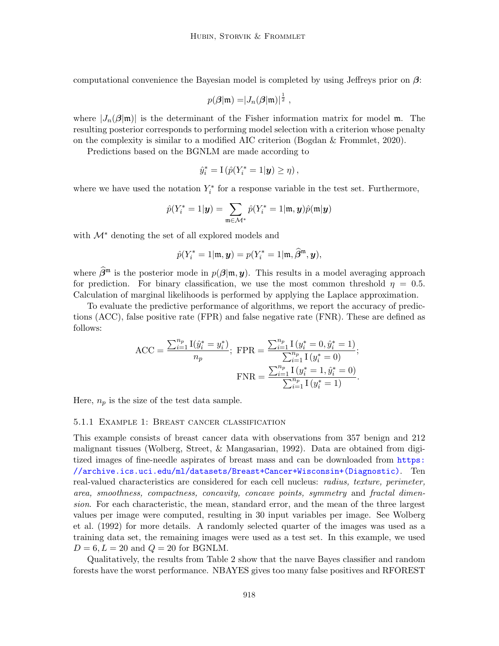computational convenience the Bayesian model is completed by using Jeffreys prior on  $\beta$ :

$$
p(\boldsymbol{\beta}|\mathfrak{m}) = |J_n(\boldsymbol{\beta}|\mathfrak{m})|^{\frac{1}{2}},
$$

where  $|J_n(\beta|m)|$  is the determinant of the Fisher information matrix for model m. The resulting posterior corresponds to performing model selection with a criterion whose penalty on the complexity is similar to a modified AIC criterion (Bogdan & Frommlet, 2020).

Predictions based on the BGNLM are made according to

$$
\hat{y}_i^* = \mathbb{I} \left( \hat{p}(Y_i^* = 1 | \mathbf{y}) \ge \eta \right),\,
$$

where we have used the notation  $Y_i^*$  for a response variable in the test set. Furthermore,

$$
\hat{p}(Y^*_i=1|\boldsymbol{y})=\sum_{\mathfrak{m}\in\mathcal{M}^*}\hat{p}(Y^*_i=1|\mathfrak{m},\boldsymbol{y})\hat{p}(\mathfrak{m}|\boldsymbol{y})
$$

with M<sup>∗</sup> denoting the set of all explored models and

$$
\hat{p}(Y_i^* = 1 | \mathfrak{m}, \mathbf{y}) = p(Y_i^* = 1 | \mathfrak{m}, \hat{\beta}^{\mathfrak{m}}, \mathbf{y}),
$$

where  $\widehat{\beta}^{\mathfrak{m}}$  is the posterior mode in  $p(\beta|\mathfrak{m}, y)$ . This results in a model averaging approach for prediction. For binary classification, we use the most common threshold  $\eta = 0.5$ . Calculation of marginal likelihoods is performed by applying the Laplace approximation.

To evaluate the predictive performance of algorithms, we report the accuracy of predictions (ACC), false positive rate (FPR) and false negative rate (FNR). These are defined as follows:

$$
\text{ACC} = \frac{\sum_{i=1}^{n_p} \text{I}(\hat{y}_i^* = y_i^*)}{n_p}; \text{ FPR} = \frac{\sum_{i=1}^{n_p} \text{I}(y_i^* = 0, \hat{y}_i^* = 1)}{\sum_{i=1}^{n_p} \text{I}(y_i^* = 0)};
$$

$$
\text{FNR} = \frac{\sum_{i=1}^{n_p} \text{I}(y_i^* = 1, \hat{y}_i^* = 0)}{\sum_{i=1}^{n_p} \text{I}(y_i^* = 1)}.
$$

Here,  $n_p$  is the size of the test data sample.

#### 5.1.1 Example 1: Breast cancer classification

This example consists of breast cancer data with observations from 357 benign and 212 malignant tissues (Wolberg, Street, & Mangasarian, 1992). Data are obtained from digitized images of fine-needle aspirates of breast mass and can be downloaded from [https:](https://archive.ics.uci.edu/ml/datasets/Breast+Cancer+Wisconsin+(Diagnostic)) [//archive.ics.uci.edu/ml/datasets/Breast+Cancer+Wisconsin+\(Diagnostic\)](https://archive.ics.uci.edu/ml/datasets/Breast+Cancer+Wisconsin+(Diagnostic)). Ten real-valued characteristics are considered for each cell nucleus: radius, texture, perimeter, area, smoothness, compactness, concavity, concave points, symmetry and fractal dimension. For each characteristic, the mean, standard error, and the mean of the three largest values per image were computed, resulting in 30 input variables per image. See Wolberg et al. (1992) for more details. A randomly selected quarter of the images was used as a training data set, the remaining images were used as a test set. In this example, we used  $D = 6, L = 20$  and  $Q = 20$  for BGNLM.

Qualitatively, the results from Table 2 show that the naıve Bayes classifier and random forests have the worst performance. NBAYES gives too many false positives and RFOREST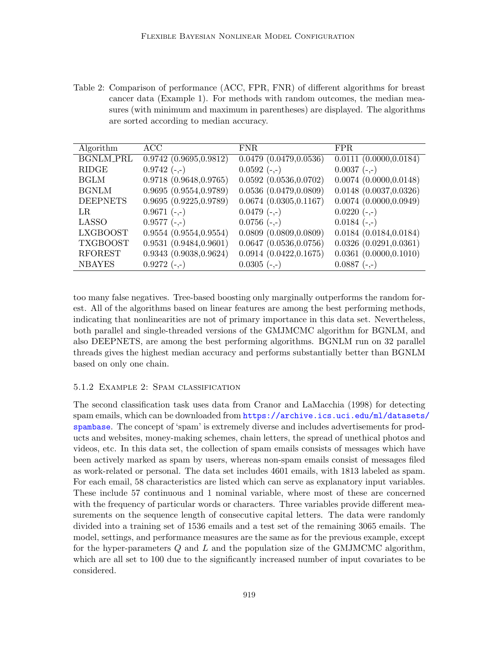Table 2: Comparison of performance (ACC, FPR, FNR) of different algorithms for breast cancer data (Example 1). For methods with random outcomes, the median measures (with minimum and maximum in parentheses) are displayed. The algorithms are sorted according to median accuracy.

| Algorithm        | ACC.                   | FNR.                        | FPR.                        |
|------------------|------------------------|-----------------------------|-----------------------------|
| <b>BGNLM_PRL</b> | 0.9742(0.9695, 0.9812) | 0.0479(0.0479, 0.0536)      | 0.0111(0.0000, 0.0184)      |
| <b>RIDGE</b>     | $0.9742(-,-)$          | $0.0592 (-,-)$              | $0.0037(-,-)$               |
| <b>BGLM</b>      | 0.9718(0.9648, 0.9765) | 0.0592(0.0536, 0.0702)      | $0.0074$ $(0.0000, 0.0148)$ |
| <b>BGNLM</b>     | 0.9695(0.9554, 0.9789) | 0.0536(0.0479, 0.0809)      | $0.0148$ $(0.0037, 0.0326)$ |
| <b>DEEPNETS</b>  | 0.9695(0.9225, 0.9789) | 0.0674(0.0305, 0.1167)      | 0.0074(0.0000, 0.0949)      |
| LR.              | $0.9671(-,-)$          | $0.0479(-,-)$               | $0.0220(-,-)$               |
| <b>LASSO</b>     | $0.9577(-,-)$          | $0.0756(-,-)$               | $0.0184 (-,-)$              |
| <b>LXGBOOST</b>  | 0.9554(0.9554, 0.9554) | 0.0809(0.0809, 0.0809)      | 0.0184(0.0184, 0.0184)      |
| <b>TXGBOOST</b>  | 0.9531(0.9484, 0.9601) | $0.0647$ $(0.0536, 0.0756)$ | 0.0326(0.0291, 0.0361)      |
| <b>RFOREST</b>   | 0.9343(0.9038, 0.9624) | 0.0914(0.0422, 0.1675)      | 0.0361(0.0000, 0.1010)      |
| <b>NBAYES</b>    | $0.9272(-,-)$          | $0.0305(-,-)$               | $0.0887(-,-)$               |

too many false negatives. Tree-based boosting only marginally outperforms the random forest. All of the algorithms based on linear features are among the best performing methods, indicating that nonlinearities are not of primary importance in this data set. Nevertheless, both parallel and single-threaded versions of the GMJMCMC algorithm for BGNLM, and also DEEPNETS, are among the best performing algorithms. BGNLM run on 32 parallel threads gives the highest median accuracy and performs substantially better than BGNLM based on only one chain.

#### 5.1.2 Example 2: Spam classification

The second classification task uses data from Cranor and LaMacchia (1998) for detecting spam emails, which can be downloaded from [https://archive.ics.uci.edu/ml/datasets/](https://archive.ics.uci.edu/ml/datasets/spambase) [spambase](https://archive.ics.uci.edu/ml/datasets/spambase). The concept of 'spam' is extremely diverse and includes advertisements for products and websites, money-making schemes, chain letters, the spread of unethical photos and videos, etc. In this data set, the collection of spam emails consists of messages which have been actively marked as spam by users, whereas non-spam emails consist of messages filed as work-related or personal. The data set includes 4601 emails, with 1813 labeled as spam. For each email, 58 characteristics are listed which can serve as explanatory input variables. These include 57 continuous and 1 nominal variable, where most of these are concerned with the frequency of particular words or characters. Three variables provide different measurements on the sequence length of consecutive capital letters. The data were randomly divided into a training set of 1536 emails and a test set of the remaining 3065 emails. The model, settings, and performance measures are the same as for the previous example, except for the hyper-parameters  $Q$  and  $L$  and the population size of the GMJMCMC algorithm, which are all set to 100 due to the significantly increased number of input covariates to be considered.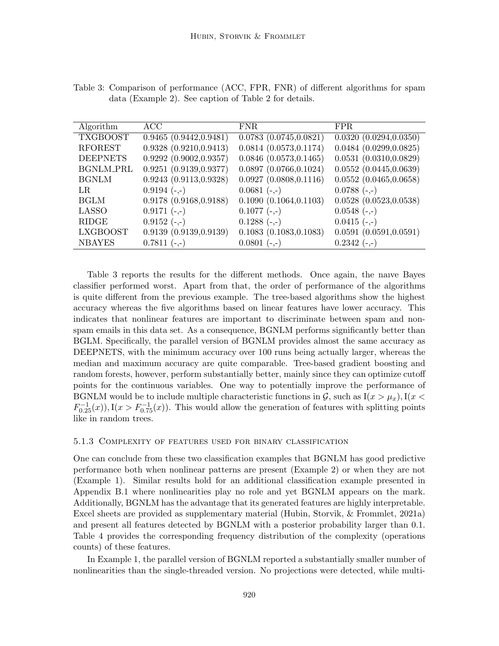| Algorithm        | ACC                    | <b>FNR</b>                  | FPR.                        |
|------------------|------------------------|-----------------------------|-----------------------------|
| <b>TXGBOOST</b>  | 0.9465(0.9442, 0.9481) | $0.0783$ $(0.0745, 0.0821)$ | 0.0320(0.0294, 0.0350)      |
| <b>RFOREST</b>   | 0.9328(0.9210, 0.9413) | 0.0814(0.0573, 0.1174)      | 0.0484(0.0299, 0.0825)      |
| <b>DEEPNETS</b>  | 0.9292(0.9002, 0.9357) | $0.0846$ $(0.0573, 0.1465)$ | 0.0531(0.0310, 0.0829)      |
| <b>BGNLM_PRL</b> | 0.9251(0.9139, 0.9377) | 0.0897(0.0766, 0.1024)      | 0.0552(0.0445, 0.0639)      |
| <b>BGNLM</b>     | 0.9243(0.9113, 0.9328) | 0.0927(0.0808, 0.1116)      | 0.0552(0.0465, 0.0658)      |
| LR.              | $0.9194 (-, -)$        | $0.0681(-,-)$               | $0.0788 (-,-)$              |
| <b>BGLM</b>      | 0.9178(0.9168, 0.9188) | 0.1090(0.1064, 0.1103)      | $0.0528$ $(0.0523, 0.0538)$ |
| <b>LASSO</b>     | $0.9171(-,-)$          | $0.1077(-,-)$               | $0.0548 (-, -)$             |
| <b>RIDGE</b>     | $0.9152 (-,-)$         | $0.1288 (-, -)$             | $0.0415(-,-)$               |
| <b>LXGBOOST</b>  | 0.9139(0.9139, 0.9139) | 0.1083(0.1083, 0.1083)      | 0.0591(0.0591, 0.0591)      |
| <b>NBAYES</b>    | $0.7811(-,-)$          | $0.0801(-,-)$               | $0.2342(-,-)$               |

Table 3: Comparison of performance (ACC, FPR, FNR) of different algorithms for spam data (Example 2). See caption of Table 2 for details.

Table 3 reports the results for the different methods. Once again, the naıve Bayes classifier performed worst. Apart from that, the order of performance of the algorithms is quite different from the previous example. The tree-based algorithms show the highest accuracy whereas the five algorithms based on linear features have lower accuracy. This indicates that nonlinear features are important to discriminate between spam and nonspam emails in this data set. As a consequence, BGNLM performs significantly better than BGLM. Specifically, the parallel version of BGNLM provides almost the same accuracy as DEEPNETS, with the minimum accuracy over 100 runs being actually larger, whereas the median and maximum accuracy are quite comparable. Tree-based gradient boosting and random forests, however, perform substantially better, mainly since they can optimize cutoff points for the continuous variables. One way to potentially improve the performance of BGNLM would be to include multiple characteristic functions in  $\mathcal{G}$ , such as  $I(x > \mu_x)$ ,  $I(x <$  $F_{0.25}^{-1}(x)$ , I( $x > F_{0.75}^{-1}(x)$ ). This would allow the generation of features with splitting points like in random trees.

#### 5.1.3 Complexity of features used for binary classification

One can conclude from these two classification examples that BGNLM has good predictive performance both when nonlinear patterns are present (Example 2) or when they are not (Example 1). Similar results hold for an additional classification example presented in Appendix B.1 where nonlinearities play no role and yet BGNLM appears on the mark. Additionally, BGNLM has the advantage that its generated features are highly interpretable. Excel sheets are provided as supplementary material (Hubin, Storvik, & Frommlet, 2021a) and present all features detected by BGNLM with a posterior probability larger than 0.1. Table 4 provides the corresponding frequency distribution of the complexity (operations counts) of these features.

In Example 1, the parallel version of BGNLM reported a substantially smaller number of nonlinearities than the single-threaded version. No projections were detected, while multi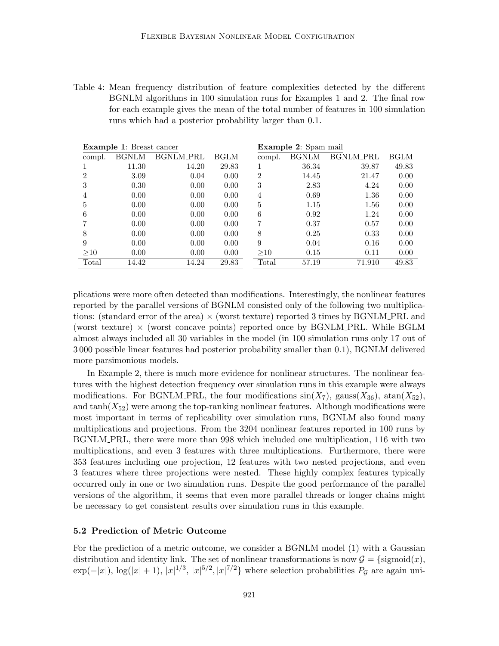Table 4: Mean frequency distribution of feature complexities detected by the different BGNLM algorithms in 100 simulation runs for Examples 1 and 2. The final row for each example gives the mean of the total number of features in 100 simulation runs which had a posterior probability larger than 0.1.

|        | <b>Example 1:</b> Breast cancer |                  |             |                | <b>Example 2:</b> Spam mail |                  |             |  |  |
|--------|---------------------------------|------------------|-------------|----------------|-----------------------------|------------------|-------------|--|--|
| compl. | <b>BGNLM</b>                    | <b>BGNLM_PRL</b> | <b>BGLM</b> | compl.         | <b>BGNLM</b>                | <b>BGNLM_PRL</b> | <b>BGLM</b> |  |  |
|        | 11.30                           | 14.20            | 29.83       |                | 36.34                       | 39.87            | 49.83       |  |  |
| 2      | 3.09                            | 0.04             | 0.00        | $\overline{2}$ | 14.45                       | 21.47            | 0.00        |  |  |
| 3      | 0.30                            | 0.00             | 0.00        | 3              | 2.83                        | 4.24             | 0.00        |  |  |
| 4      | 0.00                            | 0.00             | 0.00        | 4              | 0.69                        | 1.36             | 0.00        |  |  |
| 5      | 0.00                            | 0.00             | 0.00        | 5              | 1.15                        | 1.56             | 0.00        |  |  |
| 6      | 0.00                            | 0.00             | 0.00        | 6              | 0.92                        | 1.24             | 0.00        |  |  |
|        | 0.00                            | 0.00             | 0.00        |                | 0.37                        | 0.57             | 0.00        |  |  |
| 8      | 0.00                            | 0.00             | 0.00        | 8              | 0.25                        | 0.33             | 0.00        |  |  |
| 9      | 0.00                            | 0.00             | 0.00        | 9              | 0.04                        | 0.16             | 0.00        |  |  |
| >10    | 0.00                            | 0.00             | 0.00        | >10            | 0.15                        | 0.11             | 0.00        |  |  |
| Total  | 14.42                           | 14.24            | 29.83       | Total          | 57.19                       | 71.910           | 49.83       |  |  |

plications were more often detected than modifications. Interestingly, the nonlinear features reported by the parallel versions of BGNLM consisted only of the following two multiplications: (standard error of the area)  $\times$  (worst texture) reported 3 times by BGNLM PRL and (worst texture)  $\times$  (worst concave points) reported once by BGNLM PRL. While BGLM almost always included all 30 variables in the model (in 100 simulation runs only 17 out of 3 000 possible linear features had posterior probability smaller than 0.1), BGNLM delivered more parsimonious models.

In Example 2, there is much more evidence for nonlinear structures. The nonlinear features with the highest detection frequency over simulation runs in this example were always modifications. For BGNLM PRL, the four modifications  $sin(X_7)$ , gauss $(X_{36})$ ,  $atan(X_{52})$ , and  $tanh(X_{52})$  were among the top-ranking nonlinear features. Although modifications were most important in terms of replicability over simulation runs, BGNLM also found many multiplications and projections. From the 3204 nonlinear features reported in 100 runs by BGNLM PRL, there were more than 998 which included one multiplication, 116 with two multiplications, and even 3 features with three multiplications. Furthermore, there were 353 features including one projection, 12 features with two nested projections, and even 3 features where three projections were nested. These highly complex features typically occurred only in one or two simulation runs. Despite the good performance of the parallel versions of the algorithm, it seems that even more parallel threads or longer chains might be necessary to get consistent results over simulation runs in this example.

## 5.2 Prediction of Metric Outcome

For the prediction of a metric outcome, we consider a BGNLM model (1) with a Gaussian distribution and identity link. The set of nonlinear transformations is now  $\mathcal{G} = \{\text{sigmoid}(x),\}$  $\exp(-|x|)$ ,  $\log(|x|+1)$ ,  $|x|^{1/3}$ ,  $|x|^{5/2}$ ,  $|x|^{7/2}$  where selection probabilities  $P_{\mathcal{G}}$  are again uni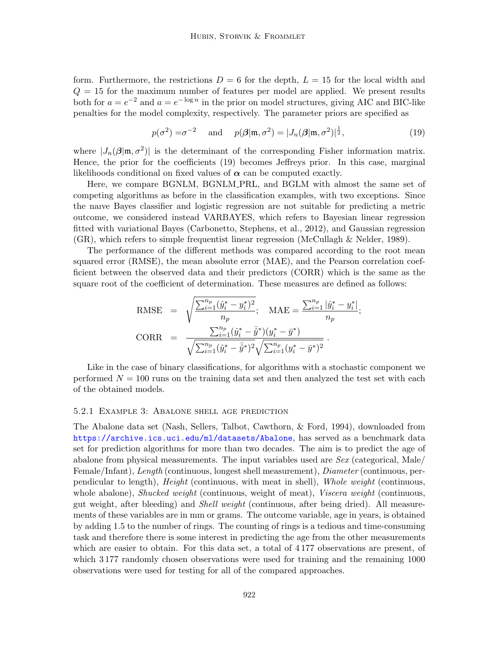form. Furthermore, the restrictions  $D = 6$  for the depth,  $L = 15$  for the local width and  $Q = 15$  for the maximum number of features per model are applied. We present results both for  $a = e^{-2}$  and  $a = e^{-\log n}$  in the prior on model structures, giving AIC and BIC-like penalties for the model complexity, respectively. The parameter priors are specified as

$$
p(\sigma^2) = \sigma^{-2} \quad \text{and} \quad p(\boldsymbol{\beta}|\mathfrak{m}, \sigma^2) = |J_n(\boldsymbol{\beta}|\mathfrak{m}, \sigma^2)|^{\frac{1}{2}}, \tag{19}
$$

where  $|J_n(\beta|m, \sigma^2)|$  is the determinant of the corresponding Fisher information matrix. Hence, the prior for the coefficients (19) becomes Jeffreys prior. In this case, marginal likelihoods conditional on fixed values of  $\alpha$  can be computed exactly.

Here, we compare BGNLM, BGNLM PRL, and BGLM with almost the same set of competing algorithms as before in the classification examples, with two exceptions. Since the naıve Bayes classifier and logistic regression are not suitable for predicting a metric outcome, we considered instead VARBAYES, which refers to Bayesian linear regression fitted with variational Bayes (Carbonetto, Stephens, et al., 2012), and Gaussian regression (GR), which refers to simple frequentist linear regression (McCullagh & Nelder, 1989).

The performance of the different methods was compared according to the root mean squared error (RMSE), the mean absolute error (MAE), and the Pearson correlation coefficient between the observed data and their predictors (CORR) which is the same as the square root of the coefficient of determination. These measures are defined as follows:

RMSE = 
$$
\sqrt{\frac{\sum_{i=1}^{n_p} (\hat{y}_i^* - y_i^*)^2}{n_p}}
$$
; MAE =  $\frac{\sum_{i=1}^{n_p} |\hat{y}_i^* - y_i^*|}{n_p}$ ;  
CORR =  $\frac{\sum_{i=1}^{n_p} (\hat{y}_i^* - \bar{\hat{y}}^*)(y_i^* - \bar{y}^*)}{\sqrt{\sum_{i=1}^{n_p} (\hat{y}_i^* - \bar{\hat{y}}^*)^2} \sqrt{\sum_{i=1}^{n_p} (y_i^* - \bar{y}^*)^2}}$ .

Like in the case of binary classifications, for algorithms with a stochastic component we performed  $N = 100$  runs on the training data set and then analyzed the test set with each of the obtained models.

#### 5.2.1 Example 3: Abalone shell age prediction

The Abalone data set (Nash, Sellers, Talbot, Cawthorn, & Ford, 1994), downloaded from <https://archive.ics.uci.edu/ml/datasets/Abalone>, has served as a benchmark data set for prediction algorithms for more than two decades. The aim is to predict the age of abalone from physical measurements. The input variables used are  $Sex$  (categorical, Male/ Female/Infant), Length (continuous, longest shell measurement), Diameter (continuous, perpendicular to length), Height (continuous, with meat in shell), Whole weight (continuous, whole abalone), *Shucked weight* (continuous, weight of meat), *Viscera weight* (continuous, gut weight, after bleeding) and Shell weight (continuous, after being dried). All measurements of these variables are in mm or grams. The outcome variable, age in years, is obtained by adding 1.5 to the number of rings. The counting of rings is a tedious and time-consuming task and therefore there is some interest in predicting the age from the other measurements which are easier to obtain. For this data set, a total of 4 177 observations are present, of which 3177 randomly chosen observations were used for training and the remaining 1000 observations were used for testing for all of the compared approaches.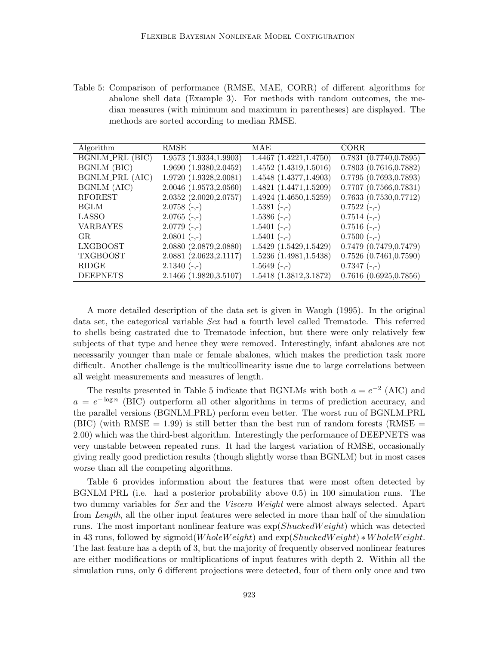Table 5: Comparison of performance (RMSE, MAE, CORR) of different algorithms for abalone shell data (Example 3). For methods with random outcomes, the median measures (with minimum and maximum in parentheses) are displayed. The methods are sorted according to median RMSE.

| Algorithm              | RMSE                    | MAE                     | <b>CORR</b>                 |
|------------------------|-------------------------|-------------------------|-----------------------------|
| <b>BGNLM_PRL (BIC)</b> | 1.9573(1.9334, 1.9903)  | 1.4467 (1.4221, 1.4750) | 0.7831(0.7740, 0.7895)      |
| BGNLM (BIC)            | 1.9690(1.9380, 2.0452)  | 1.4552(1.4319, 1.5016)  | $0.7803$ $(0.7616, 0.7882)$ |
| BGNLM_PRL (AIC)        | 1.9720(1.9328, 2.0081)  | 1.4548 (1.4377,1.4903)  | 0.7795(0.7693, 0.7893)      |
| BGNLM (AIC)            | 2.0046 (1.9573,2.0560)  | 1.4821(1.4471, 1.5209)  | $0.7707$ $(0.7566, 0.7831)$ |
| <b>RFOREST</b>         | 2.0352(2.0020, 2.0757)  | 1.4924(1.4650, 1.5259)  | 0.7633(0.7530, 0.7712)      |
| <b>BGLM</b>            | $2.0758(-,-)$           | $1.5381(-,-)$           | $0.7522(-,-)$               |
| LASSO                  | $2.0765(-,-)$           | $1.5386(-,-)$           | $0.7514(-,-)$               |
| <b>VARBAYES</b>        | $2.0779(-,-)$           | $1.5401 (-, -)$         | $0.7516(-,-)$               |
| GR.                    | $2.0801(-,-)$           | $1.5401 (-, )$          | $0.7500 (-,-)$              |
| <b>LXGBOOST</b>        | 2.0880 (2.0879, 2.0880) | 1.5429(1.5429, 1.5429)  | 0.7479(0.7479, 0.7479)      |
| <b>TXGBOOST</b>        | 2.0881 (2.0623, 2.1117) | 1.5236(1.4981, 1.5438)  | $0.7526$ $(0.7461, 0.7590)$ |
| RIDGE                  | $2.1340(-,-)$           | $1.5649(-,-)$           | $0.7347(-,-)$               |
| <b>DEEPNETS</b>        | 2.1466 (1.9820,3.5107)  | 1.5418 (1.3812,3.1872)  | 0.7616(0.6925, 0.7856)      |

A more detailed description of the data set is given in Waugh (1995). In the original data set, the categorical variable Sex had a fourth level called Trematode. This referred to shells being castrated due to Trematode infection, but there were only relatively few subjects of that type and hence they were removed. Interestingly, infant abalones are not necessarily younger than male or female abalones, which makes the prediction task more difficult. Another challenge is the multicollinearity issue due to large correlations between all weight measurements and measures of length.

The results presented in Table 5 indicate that BGNLMs with both  $a = e^{-2}$  (AIC) and  $a = e^{-\log n}$  (BIC) outperform all other algorithms in terms of prediction accuracy, and the parallel versions (BGNLM PRL) perform even better. The worst run of BGNLM PRL (BIC) (with RMSE  $= 1.99$ ) is still better than the best run of random forests (RMSE  $=$ 2.00) which was the third-best algorithm. Interestingly the performance of DEEPNETS was very unstable between repeated runs. It had the largest variation of RMSE, occasionally giving really good prediction results (though slightly worse than BGNLM) but in most cases worse than all the competing algorithms.

Table 6 provides information about the features that were most often detected by BGNLM PRL (i.e. had a posterior probability above 0.5) in 100 simulation runs. The two dummy variables for *Sex* and the *Viscera Weight* were almost always selected. Apart from Length, all the other input features were selected in more than half of the simulation runs. The most important nonlinear feature was  $\exp(ShuckedWeight)$  which was detected in 43 runs, followed by sigmoid( $WholeWeight$ ) and  $exp(ShuckedWeight) * WholeWeight$ . The last feature has a depth of 3, but the majority of frequently observed nonlinear features are either modifications or multiplications of input features with depth 2. Within all the simulation runs, only 6 different projections were detected, four of them only once and two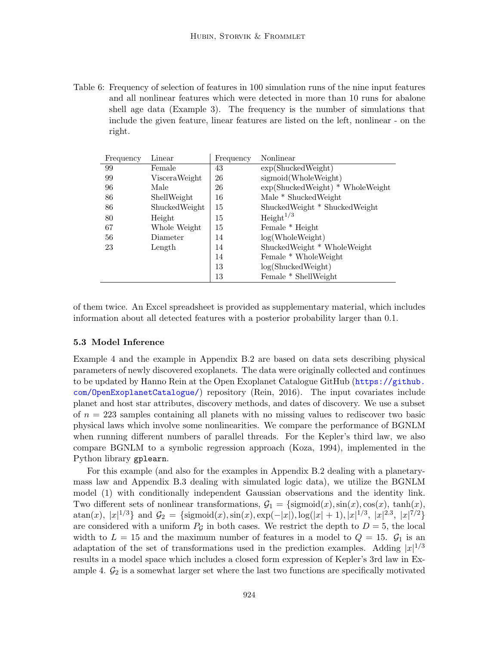Table 6: Frequency of selection of features in 100 simulation runs of the nine input features and all nonlinear features which were detected in more than 10 runs for abalone shell age data (Example 3). The frequency is the number of simulations that include the given feature, linear features are listed on the left, nonlinear - on the right.

| Frequency | Linear        | Frequency | Nonlinear                                          |
|-----------|---------------|-----------|----------------------------------------------------|
| 99        | Female        | 43        | exp(ShuckedWeight)                                 |
| 99        | VisceraWeight | 26        | sigmoid(WholeWeight)                               |
| 96        | Male          | 26        | $\exp(\text{ShuckedWeight}) * \text{WholeWeight})$ |
| 86        | ShellWeight   | 16        | Male * ShuckedWeight                               |
| 86        | ShuckedWeight | 15        | ShuckedWeight * ShuckedWeight                      |
| 80        | Height        | 15        | Height <sup>1/3</sup>                              |
| 67        | Whole Weight  | 15        | Female * Height                                    |
| 56        | Diameter      | 14        | log(WholeWeight)                                   |
| 23        | Length        | 14        | ShuckedWeight * WholeWeight                        |
|           |               | 14        | Female * Whole Weight                              |
|           |               | 13        | log(ShuckedWeight)                                 |
|           |               | 13        | Female * ShellWeight                               |

of them twice. An Excel spreadsheet is provided as supplementary material, which includes information about all detected features with a posterior probability larger than 0.1.

#### 5.3 Model Inference

Example 4 and the example in Appendix B.2 are based on data sets describing physical parameters of newly discovered exoplanets. The data were originally collected and continues to be updated by Hanno Rein at the Open Exoplanet Catalogue GitHub ([https://github.](https://github.com/OpenExoplanetCatalogue/) [com/OpenExoplanetCatalogue/](https://github.com/OpenExoplanetCatalogue/)) repository (Rein, 2016). The input covariates include planet and host star attributes, discovery methods, and dates of discovery. We use a subset of  $n = 223$  samples containing all planets with no missing values to rediscover two basic physical laws which involve some nonlinearities. We compare the performance of BGNLM when running different numbers of parallel threads. For the Kepler's third law, we also compare BGNLM to a symbolic regression approach (Koza, 1994), implemented in the Python library gplearn.

For this example (and also for the examples in Appendix B.2 dealing with a planetarymass law and Appendix B.3 dealing with simulated logic data), we utilize the BGNLM model (1) with conditionally independent Gaussian observations and the identity link. Two different sets of nonlinear transformations,  $\mathcal{G}_1 = \{\text{sigmoid}(x), \text{sin}(x), \text{cos}(x), \text{tanh}(x),\}$  $\text{atan}(x)$ ,  $|x|^{1/3}\}$  and  $\mathcal{G}_2 = \{\text{sigmoid}(x), \text{sin}(x), \text{exp}(-|x|), \log(|x|+1), |x|^{1/3}, |x|^{2.3}, |x|^{7/2}\}$ are considered with a uniform  $P<sub>G</sub>$  in both cases. We restrict the depth to  $D = 5$ , the local width to  $L = 15$  and the maximum number of features in a model to  $Q = 15$ .  $\mathcal{G}_1$  is an adaptation of the set of transformations used in the prediction examples. Adding  $|x|^{1/3}$ results in a model space which includes a closed form expression of Kepler's 3rd law in Example 4.  $\mathcal{G}_2$  is a somewhat larger set where the last two functions are specifically motivated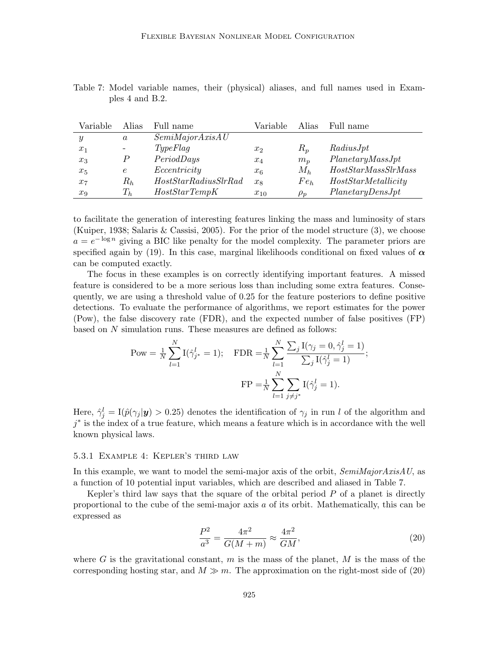| Variable | Alias            | Full name             | Variable | Alias    | Full name           |
|----------|------------------|-----------------------|----------|----------|---------------------|
| Y        | $\boldsymbol{a}$ | SemiMajorAxisAU       |          |          |                     |
| $x_1$    |                  | TypeFlag              | $x_2$    | $R_p$    | RadiusJpt           |
| $x_3$    |                  | PeriodDays            | $x_4$    | $m_n$    | Planetary MassJpt   |
| $x_5$    | $\epsilon$       | Eccentricity          | $x_6$    | $M_h$    | HostStarMassSlrMass |
| $x_7$    | $R_h$            | HostStarRadius SlrRad | $x_8$    | $Fe_h$   | HostStarMetallicity |
| $x_9$    | $T_{h}$          | HostStarTempK         | $x_{10}$ | $\rho_p$ | Planetary DensJpt   |

Table 7: Model variable names, their (physical) aliases, and full names used in Examples 4 and B.2.

to facilitate the generation of interesting features linking the mass and luminosity of stars (Kuiper, 1938; Salaris & Cassisi, 2005). For the prior of the model structure (3), we choose  $a = e^{-\log n}$  giving a BIC like penalty for the model complexity. The parameter priors are specified again by (19). In this case, marginal likelihoods conditional on fixed values of  $\alpha$ can be computed exactly.

The focus in these examples is on correctly identifying important features. A missed feature is considered to be a more serious loss than including some extra features. Consequently, we are using a threshold value of 0.25 for the feature posteriors to define positive detections. To evaluate the performance of algorithms, we report estimates for the power (Pow), the false discovery rate (FDR), and the expected number of false positives (FP) based on N simulation runs. These measures are defined as follows:

$$
\text{Pow} = \frac{1}{N} \sum_{l=1}^{N} \text{I}(\hat{\gamma}_{j^*}^l = 1); \quad \text{FDR} = \frac{1}{N} \sum_{l=1}^{N} \frac{\sum_{j} \text{I}(\gamma_j = 0, \hat{\gamma}_j^l = 1)}{\sum_{j} \text{I}(\hat{\gamma}_j^l = 1)};
$$
\n
$$
\text{FP} = \frac{1}{N} \sum_{l=1}^{N} \sum_{j \neq j^*} \text{I}(\hat{\gamma}_j^l = 1).
$$

Here,  $\hat{\gamma}_j^l = \text{I}(\hat{p}(\gamma_j|\mathbf{y}) > 0.25)$  denotes the identification of  $\gamma_j$  in run l of the algorithm and  $j^*$  is the index of a true feature, which means a feature which is in accordance with the well known physical laws.

#### 5.3.1 Example 4: Kepler's third law

In this example, we want to model the semi-major axis of the orbit,  $SemiMajorAxisAU$ , as a function of 10 potential input variables, which are described and aliased in Table 7.

Kepler's third law says that the square of the orbital period  $P$  of a planet is directly proportional to the cube of the semi-major axis a of its orbit. Mathematically, this can be expressed as

$$
\frac{P^2}{a^3} = \frac{4\pi^2}{G(M+m)} \approx \frac{4\pi^2}{GM},\tag{20}
$$

where G is the gravitational constant, m is the mass of the planet, M is the mass of the corresponding hosting star, and  $M \gg m$ . The approximation on the right-most side of (20)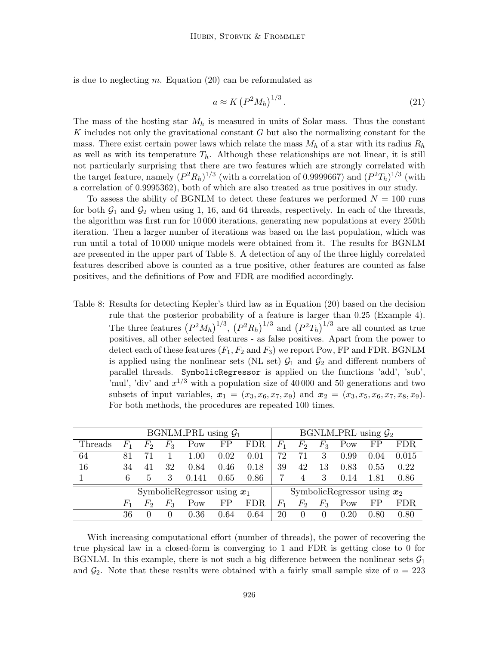is due to neglecting  $m$ . Equation (20) can be reformulated as

$$
a \approx K \left( P^2 M_h \right)^{1/3} . \tag{21}
$$

The mass of the hosting star  $M_h$  is measured in units of Solar mass. Thus the constant  $K$  includes not only the gravitational constant  $G$  but also the normalizing constant for the mass. There exist certain power laws which relate the mass  $M_h$  of a star with its radius  $R_h$ as well as with its temperature  $T<sub>h</sub>$ . Although these relationships are not linear, it is still not particularly surprising that there are two features which are strongly correlated with the target feature, namely  $(P^2R_h)^{1/3}$  (with a correlation of 0.9999667) and  $(P^2T_h)^{1/3}$  (with a correlation of 0.9995362), both of which are also treated as true positives in our study.

To assess the ability of BGNLM to detect these features we performed  $N = 100$  runs for both  $\mathcal{G}_1$  and  $\mathcal{G}_2$  when using 1, 16, and 64 threads, respectively. In each of the threads, the algorithm was first run for 10 000 iterations, generating new populations at every 250th iteration. Then a larger number of iterations was based on the last population, which was run until a total of 10 000 unique models were obtained from it. The results for BGNLM are presented in the upper part of Table 8. A detection of any of the three highly correlated features described above is counted as a true positive, other features are counted as false positives, and the definitions of Pow and FDR are modified accordingly.

Table 8: Results for detecting Kepler's third law as in Equation (20) based on the decision rule that the posterior probability of a feature is larger than 0.25 (Example 4). The three features  $(P^2M_h)^{1/3}$ ,  $(P^2R_h)^{1/3}$  and  $(P^2T_h)^{1/3}$  are all counted as true positives, all other selected features - as false positives. Apart from the power to detect each of these features  $(F_1, F_2 \text{ and } F_3)$  we report Pow, FP and FDR. BGNLM is applied using the nonlinear sets (NL set)  $\mathcal{G}_1$  and  $\mathcal{G}_2$  and different numbers of parallel threads. SymbolicRegressor is applied on the functions 'add', 'sub', 'mul', 'div' and  $x^{1/3}$  with a population size of 40000 and 50 generations and two subsets of input variables,  $x_1 = (x_3, x_6, x_7, x_9)$  and  $x_2 = (x_3, x_5, x_6, x_7, x_8, x_9)$ . For both methods, the procedures are repeated 100 times.

| BGNLM_PRL using $\mathcal{G}_1$ |             |          |              |       |      |            |                | BGNLM_PRL using $\mathcal{G}_2$ |          |      |      |            |
|---------------------------------|-------------|----------|--------------|-------|------|------------|----------------|---------------------------------|----------|------|------|------------|
| Threads                         | $F_1$       | $F_2$    | $F_3$        | Pow   | FP   | <b>FDR</b> | $\mathit{F}_1$ | $F_2$                           | $F_3$    | Pow  | FP   | <b>FDR</b> |
| 64                              | 81          | 71       |              | 1.00  | 0.02 | 0.01       | 72             | 71                              | 3        | 0.99 | 0.04 | 0.015      |
| 16                              | 34          | 41       | 32           | 0.84  | 0.46 | 0.18       | 39             | 42                              | 13       | 0.83 | 0.55 | 0.22       |
|                                 | 6           | 5        | 3            | 0.141 | 0.65 | 0.86       |                | $\overline{4}$                  | 3        | 0.14 | 1.81 | 0.86       |
| SymbolicRegressor using $x_1$   |             |          |              |       |      |            |                | SymbolicRegressor using $x_2$   |          |      |      |            |
|                                 | $F_{\rm 1}$ | $F_2$    | $F_3$        | Pow   | FP   | <b>FDR</b> | $\mathit{F}_1$ | $F_2$                           | $F_3$    | Pow  | FP   | <b>FDR</b> |
|                                 | 36          | $\theta$ | $\mathbf{0}$ | 0.36  | 0.64 | 0.64       | 20             | $\theta$                        | $\theta$ | 0.20 | 0.80 | 0.80       |

With increasing computational effort (number of threads), the power of recovering the true physical law in a closed-form is converging to 1 and FDR is getting close to 0 for BGNLM. In this example, there is not such a big difference between the nonlinear sets  $\mathcal{G}_1$ and  $\mathcal{G}_2$ . Note that these results were obtained with a fairly small sample size of  $n = 223$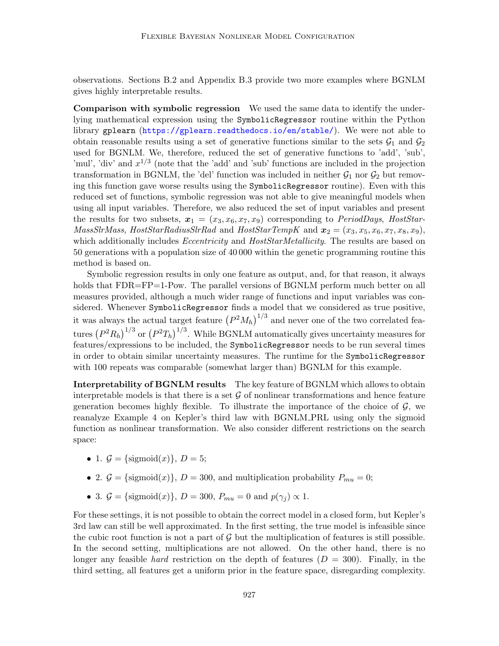observations. Sections B.2 and Appendix B.3 provide two more examples where BGNLM gives highly interpretable results.

Comparison with symbolic regression We used the same data to identify the underlying mathematical expression using the SymbolicRegressor routine within the Python library gplearn (<https://gplearn.readthedocs.io/en/stable/>). We were not able to obtain reasonable results using a set of generative functions similar to the sets  $G_1$  and  $G_2$ used for BGNLM. We, therefore, reduced the set of generative functions to 'add', 'sub', 'mul', 'div' and  $x^{1/3}$  (note that the 'add' and 'sub' functions are included in the projection transformation in BGNLM, the 'del' function was included in neither  $\mathcal{G}_1$  nor  $\mathcal{G}_2$  but removing this function gave worse results using the SymbolicRegressor routine). Even with this reduced set of functions, symbolic regression was not able to give meaningful models when using all input variables. Therefore, we also reduced the set of input variables and present the results for two subsets,  $x_1 = (x_3, x_6, x_7, x_9)$  corresponding to *PeriodDays, HostStar-MassSlrMass, HostStarRadiusSlrRad* and  $HostStarTempK$  and  $x_2 = (x_3, x_5, x_6, x_7, x_8, x_9)$ , which additionally includes *Eccentricity* and *HostStarMetallicity*. The results are based on 50 generations with a population size of 40 000 within the genetic programming routine this method is based on.

Symbolic regression results in only one feature as output, and, for that reason, it always holds that FDR=FP=1-Pow. The parallel versions of BGNLM perform much better on all measures provided, although a much wider range of functions and input variables was considered. Whenever SymbolicRegressor finds a model that we considered as true positive, it was always the actual target feature  $(P^2M_h)^{1/3}$  and never one of the two correlated features  $(P^2R_h)^{1/3}$  or  $(P^2T_h)^{1/3}$ . While BGNLM automatically gives uncertainty measures for features/expressions to be included, the SymbolicRegressor needs to be run several times in order to obtain similar uncertainty measures. The runtime for the SymbolicRegressor with 100 repeats was comparable (somewhat larger than) BGNLM for this example.

Interpretability of BGNLM results The key feature of BGNLM which allows to obtain interpretable models is that there is a set  $\mathcal G$  of nonlinear transformations and hence feature generation becomes highly flexible. To illustrate the importance of the choice of  $\mathcal{G}$ , we reanalyze Example 4 on Kepler's third law with BGNLM PRL using only the sigmoid function as nonlinear transformation. We also consider different restrictions on the search space:

- 1.  $\mathcal{G} = \{\text{sigmoid}(x)\}, D = 5;$
- 2.  $\mathcal{G} = {\text{sigmoid}(x)}$ ,  $D = 300$ , and multiplication probability  $P_{mu} = 0$ ;
- 3.  $\mathcal{G} = {\text{sigmoid}(x)}$ ,  $D = 300$ ,  $P_{mu} = 0$  and  $p(\gamma_i) \propto 1$ .

For these settings, it is not possible to obtain the correct model in a closed form, but Kepler's 3rd law can still be well approximated. In the first setting, the true model is infeasible since the cubic root function is not a part of  $\mathcal G$  but the multiplication of features is still possible. In the second setting, multiplications are not allowed. On the other hand, there is no longer any feasible hard restriction on the depth of features  $(D = 300)$ . Finally, in the third setting, all features get a uniform prior in the feature space, disregarding complexity.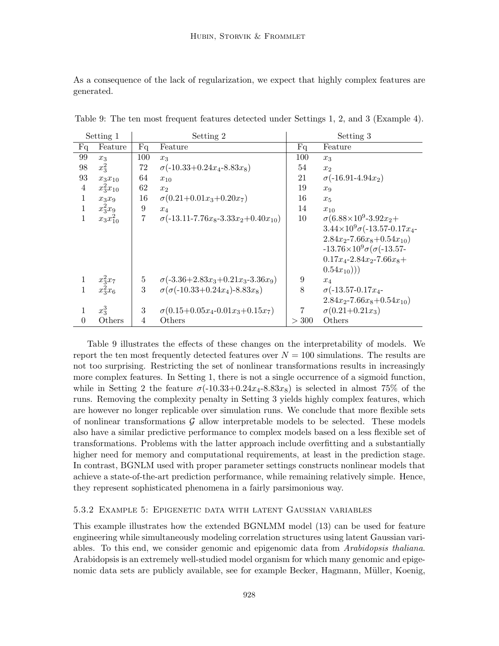As a consequence of the lack of regularization, we expect that highly complex features are generated.

|                | Setting 1<br>Setting 2 |          |                                                   | Setting 3 |                                              |
|----------------|------------------------|----------|---------------------------------------------------|-----------|----------------------------------------------|
| Fq             | Feature                | Fq       | Feature                                           | Fq        | Feature                                      |
| 99             | $x_3$                  | 100      | $x_3$                                             | 100       | $x_3$                                        |
| 98             | $x_3^2$                | 72       | $\sigma(-10.33+0.24x_4-8.83x_8)$                  | 54        | x <sub>2</sub>                               |
| 93             | $x_3x_{10}$            | 64       | $x_{10}$                                          | 21        | $\sigma(-16.91-4.94x_2)$                     |
| $\overline{4}$ | $x_3^2x_{10}$          | 62       | x <sub>2</sub>                                    | 19        | $x_9$                                        |
| $\mathbf{1}$   | $x_3x_9$               | 16       | $\sigma(0.21+0.01x_3+0.20x_7)$                    | 16        | $x_5$                                        |
| $\mathbf{1}$   | $x_3^2x_9$             | 9        | $x_4$                                             | 14        | $x_{10}$                                     |
| $\mathbf{1}$   | $x_3x_{10}^2$          | 7        | $\sigma(-13.11 - 7.76x_8 - 3.33x_2 + 0.40x_{10})$ | 10        | $\sigma$ (6.88×10 <sup>9</sup> -3.92 $x_2$ + |
|                |                        |          |                                                   |           | $3.44\times10^{9}\sigma(-13.57-0.17x_{4}$    |
|                |                        |          |                                                   |           | $2.84x_2 - 7.66x_8 + 0.54x_{10}$             |
|                |                        |          |                                                   |           | $-13.76\times10^{9}\sigma(\sigma(-13.57$     |
|                |                        |          |                                                   |           | $0.17x_4 - 2.84x_2 - 7.66x_8 +$              |
|                |                        |          |                                                   |           | $(0.54x_{10})))$                             |
|                | $x_3^2x_7$             | $5\quad$ | $\sigma(-3.36+2.83x_3+0.21x_3-3.36x_9)$           | 9         | $x_4$                                        |
|                | $x_3^2x_6$             | 3        | $\sigma(\sigma(-10.33+0.24x_4)-8.83x_8)$          | 8         | $\sigma$ (-13.57-0.17 $x_4$ -                |
|                |                        |          |                                                   |           | $2.84x_2 - 7.66x_8 + 0.54x_{10}$             |
|                | $x_3^3$                | 3        | $\sigma(0.15+0.05x_4-0.01x_3+0.15x_7)$            | 7         | $\sigma(0.21+0.21x_3)$                       |
| $\theta$       | Others                 | 4        | Others                                            | > 300     | Others                                       |

Table 9: The ten most frequent features detected under Settings 1, 2, and 3 (Example 4).

Table 9 illustrates the effects of these changes on the interpretability of models. We report the ten most frequently detected features over  $N = 100$  simulations. The results are not too surprising. Restricting the set of nonlinear transformations results in increasingly more complex features. In Setting 1, there is not a single occurrence of a sigmoid function, while in Setting 2 the feature  $\sigma(-10.33+0.24x_4-8.83x_8)$  is selected in almost 75% of the runs. Removing the complexity penalty in Setting 3 yields highly complex features, which are however no longer replicable over simulation runs. We conclude that more flexible sets of nonlinear transformations  $G$  allow interpretable models to be selected. These models also have a similar predictive performance to complex models based on a less flexible set of transformations. Problems with the latter approach include overfitting and a substantially higher need for memory and computational requirements, at least in the prediction stage. In contrast, BGNLM used with proper parameter settings constructs nonlinear models that achieve a state-of-the-art prediction performance, while remaining relatively simple. Hence, they represent sophisticated phenomena in a fairly parsimonious way.

#### 5.3.2 Example 5: Epigenetic data with latent Gaussian variables

This example illustrates how the extended BGNLMM model (13) can be used for feature engineering while simultaneously modeling correlation structures using latent Gaussian variables. To this end, we consider genomic and epigenomic data from Arabidopsis thaliana. Arabidopsis is an extremely well-studied model organism for which many genomic and epigenomic data sets are publicly available, see for example Becker, Hagmann, Müller, Koenig,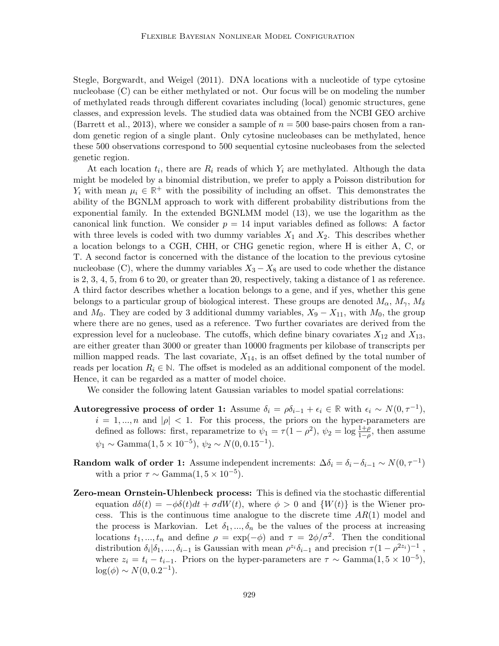Stegle, Borgwardt, and Weigel (2011). DNA locations with a nucleotide of type cytosine nucleobase (C) can be either methylated or not. Our focus will be on modeling the number of methylated reads through different covariates including (local) genomic structures, gene classes, and expression levels. The studied data was obtained from the NCBI GEO archive (Barrett et al., 2013), where we consider a sample of  $n = 500$  base-pairs chosen from a random genetic region of a single plant. Only cytosine nucleobases can be methylated, hence these 500 observations correspond to 500 sequential cytosine nucleobases from the selected genetic region.

At each location  $t_i$ , there are  $R_i$  reads of which  $Y_i$  are methylated. Although the data might be modeled by a binomial distribution, we prefer to apply a Poisson distribution for  $Y_i$  with mean  $\mu_i \in \mathbb{R}^+$  with the possibility of including an offset. This demonstrates the ability of the BGNLM approach to work with different probability distributions from the exponential family. In the extended BGNLMM model (13), we use the logarithm as the canonical link function. We consider  $p = 14$  input variables defined as follows: A factor with three levels is coded with two dummy variables  $X_1$  and  $X_2$ . This describes whether a location belongs to a CGH, CHH, or CHG genetic region, where H is either A, C, or T. A second factor is concerned with the distance of the location to the previous cytosine nucleobase (C), where the dummy variables  $X_3 - X_8$  are used to code whether the distance is 2, 3, 4, 5, from 6 to 20, or greater than 20, respectively, taking a distance of 1 as reference. A third factor describes whether a location belongs to a gene, and if yes, whether this gene belongs to a particular group of biological interest. These groups are denoted  $M_{\alpha}$ ,  $M_{\gamma}$ ,  $M_{\delta}$ and  $M_0$ . They are coded by 3 additional dummy variables,  $X_9 - X_{11}$ , with  $M_0$ , the group where there are no genes, used as a reference. Two further covariates are derived from the expression level for a nucleobase. The cutoffs, which define binary covariates  $X_{12}$  and  $X_{13}$ , are either greater than 3000 or greater than 10000 fragments per kilobase of transcripts per million mapped reads. The last covariate,  $X_{14}$ , is an offset defined by the total number of reads per location  $R_i \in \mathbb{N}$ . The offset is modeled as an additional component of the model. Hence, it can be regarded as a matter of model choice.

We consider the following latent Gaussian variables to model spatial correlations:

- Autoregressive process of order 1: Assume  $\delta_i = \rho \delta_{i-1} + \epsilon_i \in \mathbb{R}$  with  $\epsilon_i \sim N(0, \tau^{-1}),$  $i = 1, ..., n$  and  $|\rho| < 1$ . For this process, the priors on the hyper-parameters are defined as follows: first, reparametrize to  $\psi_1 = \tau(1-\rho^2)$ ,  $\psi_2 = \log \frac{1+\rho}{1-\rho}$ , then assume  $\psi_1 \sim \text{Gamma}(1, 5 \times 10^{-5}), \, \psi_2 \sim N(0, 0.15^{-1}).$
- **Random walk of order 1:** Assume independent increments:  $\Delta \delta_i = \delta_i \delta_{i-1} \sim N(0, \tau^{-1})$ with a prior  $\tau \sim \text{Gamma}(1, 5 \times 10^{-5})$ .
- Zero-mean Ornstein-Uhlenbeck process: This is defined via the stochastic differential equation  $d\delta(t) = -\phi \delta(t) dt + \sigma dW(t)$ , where  $\phi > 0$  and  $\{W(t)\}\$ is the Wiener process. This is the continuous time analogue to the discrete time  $AR(1)$  model and the process is Markovian. Let  $\delta_1, ..., \delta_n$  be the values of the process at increasing locations  $t_1, ..., t_n$  and define  $\rho = \exp(-\phi)$  and  $\tau = 2\phi/\sigma^2$ . Then the conditional distribution  $\delta_i|\delta_1,\ldots,\delta_{i-1}$  is Gaussian with mean  $\rho^{z_i}\delta_{i-1}$  and precision  $\tau(1-\rho^{2z_i})^{-1}$ , where  $z_i = t_i - t_{i-1}$ . Priors on the hyper-parameters are  $\tau \sim \text{Gamma}(1, 5 \times 10^{-5})$ ,  $log(\phi) \sim N(0, 0.2^{-1}).$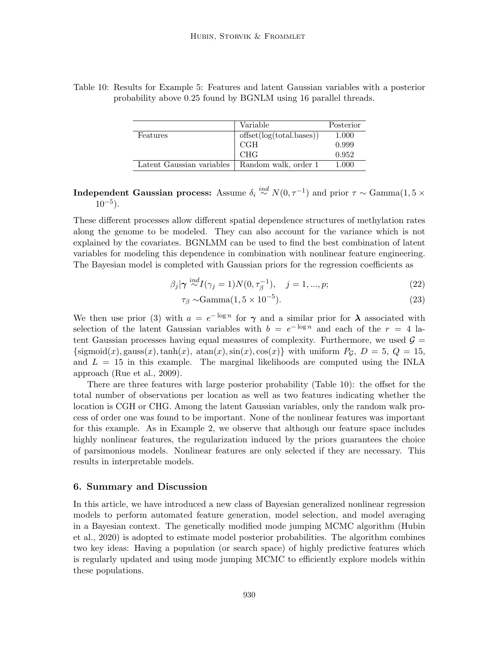|                           | Variable                 | Posterior |
|---------------------------|--------------------------|-----------|
| Features                  | offset(log(total.bases)) | 1.000     |
|                           | <b>CGH</b>               | 0.999     |
|                           | <b>CHG</b>               | 0.952     |
| Latent Gaussian variables | Random walk, order 1     | 1.000     |

Table 10: Results for Example 5: Features and latent Gaussian variables with a posterior probability above 0.25 found by BGNLM using 16 parallel threads.

Independent Gaussian process: Assume  $\delta_i \stackrel{ind}{\sim} N(0, \tau^{-1})$  and prior  $\tau \sim \text{Gamma}(1, 5 \times$  $10^{-5}$ ).

These different processes allow different spatial dependence structures of methylation rates along the genome to be modeled. They can also account for the variance which is not explained by the covariates. BGNLMM can be used to find the best combination of latent variables for modeling this dependence in combination with nonlinear feature engineering. The Bayesian model is completed with Gaussian priors for the regression coefficients as

$$
\beta_j|\gamma \stackrel{ind}{\sim} I(\gamma_j=1)N(0,\tau_\beta^{-1}), \quad j=1,...,p; \tag{22}
$$

$$
\tau_{\beta} \sim \text{Gamma}(1, 5 \times 10^{-5}).\tag{23}
$$

We then use prior (3) with  $a = e^{-\log n}$  for  $\gamma$  and a similar prior for  $\lambda$  associated with selection of the latent Gaussian variables with  $b = e^{-\log n}$  and each of the  $r = 4$  latent Gaussian processes having equal measures of complexity. Furthermore, we used  $\mathcal{G} =$  $\{\text{sigmoid}(x), \text{gauss}(x), \text{tanh}(x), \text{atan}(x), \text{sin}(x), \cos(x)\}\$  with uniform  $P_G$ ,  $D = 5$ ,  $Q = 15$ , and  $L = 15$  in this example. The marginal likelihoods are computed using the INLA approach (Rue et al., 2009).

There are three features with large posterior probability (Table 10): the offset for the total number of observations per location as well as two features indicating whether the location is CGH or CHG. Among the latent Gaussian variables, only the random walk process of order one was found to be important. None of the nonlinear features was important for this example. As in Example 2, we observe that although our feature space includes highly nonlinear features, the regularization induced by the priors guarantees the choice of parsimonious models. Nonlinear features are only selected if they are necessary. This results in interpretable models.

### 6. Summary and Discussion

In this article, we have introduced a new class of Bayesian generalized nonlinear regression models to perform automated feature generation, model selection, and model averaging in a Bayesian context. The genetically modified mode jumping MCMC algorithm (Hubin et al., 2020) is adopted to estimate model posterior probabilities. The algorithm combines two key ideas: Having a population (or search space) of highly predictive features which is regularly updated and using mode jumping MCMC to efficiently explore models within these populations.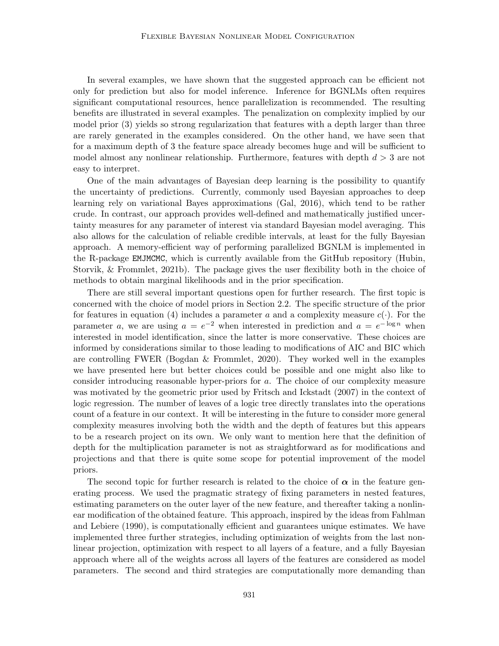In several examples, we have shown that the suggested approach can be efficient not only for prediction but also for model inference. Inference for BGNLMs often requires significant computational resources, hence parallelization is recommended. The resulting benefits are illustrated in several examples. The penalization on complexity implied by our model prior (3) yields so strong regularization that features with a depth larger than three are rarely generated in the examples considered. On the other hand, we have seen that for a maximum depth of 3 the feature space already becomes huge and will be sufficient to model almost any nonlinear relationship. Furthermore, features with depth  $d > 3$  are not easy to interpret.

One of the main advantages of Bayesian deep learning is the possibility to quantify the uncertainty of predictions. Currently, commonly used Bayesian approaches to deep learning rely on variational Bayes approximations (Gal, 2016), which tend to be rather crude. In contrast, our approach provides well-defined and mathematically justified uncertainty measures for any parameter of interest via standard Bayesian model averaging. This also allows for the calculation of reliable credible intervals, at least for the fully Bayesian approach. A memory-efficient way of performing parallelized BGNLM is implemented in the R-package EMJMCMC, which is currently available from the GitHub repository (Hubin, Storvik, & Frommlet, 2021b). The package gives the user flexibility both in the choice of methods to obtain marginal likelihoods and in the prior specification.

There are still several important questions open for further research. The first topic is concerned with the choice of model priors in Section 2.2. The specific structure of the prior for features in equation (4) includes a parameter a and a complexity measure  $c(\cdot)$ . For the parameter a, we are using  $a = e^{-2}$  when interested in prediction and  $a = e^{-\log n}$  when interested in model identification, since the latter is more conservative. These choices are informed by considerations similar to those leading to modifications of AIC and BIC which are controlling FWER (Bogdan & Frommlet, 2020). They worked well in the examples we have presented here but better choices could be possible and one might also like to consider introducing reasonable hyper-priors for a. The choice of our complexity measure was motivated by the geometric prior used by Fritsch and Ickstadt (2007) in the context of logic regression. The number of leaves of a logic tree directly translates into the operations count of a feature in our context. It will be interesting in the future to consider more general complexity measures involving both the width and the depth of features but this appears to be a research project on its own. We only want to mention here that the definition of depth for the multiplication parameter is not as straightforward as for modifications and projections and that there is quite some scope for potential improvement of the model priors.

The second topic for further research is related to the choice of  $\alpha$  in the feature generating process. We used the pragmatic strategy of fixing parameters in nested features, estimating parameters on the outer layer of the new feature, and thereafter taking a nonlinear modification of the obtained feature. This approach, inspired by the ideas from Fahlman and Lebiere (1990), is computationally efficient and guarantees unique estimates. We have implemented three further strategies, including optimization of weights from the last nonlinear projection, optimization with respect to all layers of a feature, and a fully Bayesian approach where all of the weights across all layers of the features are considered as model parameters. The second and third strategies are computationally more demanding than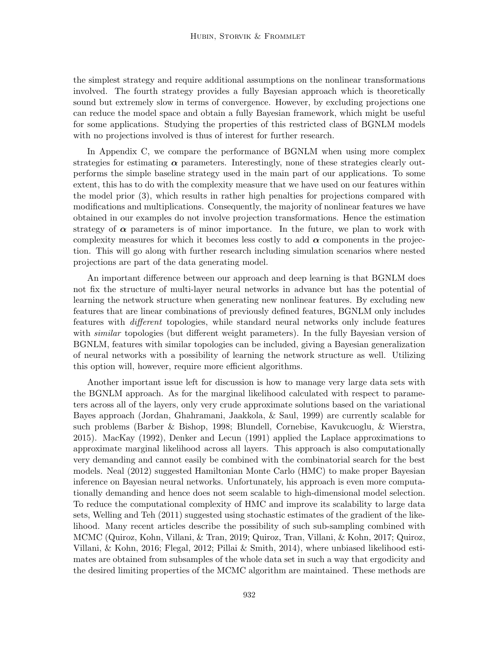the simplest strategy and require additional assumptions on the nonlinear transformations involved. The fourth strategy provides a fully Bayesian approach which is theoretically sound but extremely slow in terms of convergence. However, by excluding projections one can reduce the model space and obtain a fully Bayesian framework, which might be useful for some applications. Studying the properties of this restricted class of BGNLM models with no projections involved is thus of interest for further research.

In Appendix C, we compare the performance of BGNLM when using more complex strategies for estimating  $\alpha$  parameters. Interestingly, none of these strategies clearly outperforms the simple baseline strategy used in the main part of our applications. To some extent, this has to do with the complexity measure that we have used on our features within the model prior (3), which results in rather high penalties for projections compared with modifications and multiplications. Consequently, the majority of nonlinear features we have obtained in our examples do not involve projection transformations. Hence the estimation strategy of  $\alpha$  parameters is of minor importance. In the future, we plan to work with complexity measures for which it becomes less costly to add  $\alpha$  components in the projection. This will go along with further research including simulation scenarios where nested projections are part of the data generating model.

An important difference between our approach and deep learning is that BGNLM does not fix the structure of multi-layer neural networks in advance but has the potential of learning the network structure when generating new nonlinear features. By excluding new features that are linear combinations of previously defined features, BGNLM only includes features with different topologies, while standard neural networks only include features with *similar* topologies (but different weight parameters). In the fully Bayesian version of BGNLM, features with similar topologies can be included, giving a Bayesian generalization of neural networks with a possibility of learning the network structure as well. Utilizing this option will, however, require more efficient algorithms.

Another important issue left for discussion is how to manage very large data sets with the BGNLM approach. As for the marginal likelihood calculated with respect to parameters across all of the layers, only very crude approximate solutions based on the variational Bayes approach (Jordan, Ghahramani, Jaakkola, & Saul, 1999) are currently scalable for such problems (Barber & Bishop, 1998; Blundell, Cornebise, Kavukcuoglu, & Wierstra, 2015). MacKay (1992), Denker and Lecun (1991) applied the Laplace approximations to approximate marginal likelihood across all layers. This approach is also computationally very demanding and cannot easily be combined with the combinatorial search for the best models. Neal (2012) suggested Hamiltonian Monte Carlo (HMC) to make proper Bayesian inference on Bayesian neural networks. Unfortunately, his approach is even more computationally demanding and hence does not seem scalable to high-dimensional model selection. To reduce the computational complexity of HMC and improve its scalability to large data sets, Welling and Teh (2011) suggested using stochastic estimates of the gradient of the likelihood. Many recent articles describe the possibility of such sub-sampling combined with MCMC (Quiroz, Kohn, Villani, & Tran, 2019; Quiroz, Tran, Villani, & Kohn, 2017; Quiroz, Villani, & Kohn, 2016; Flegal, 2012; Pillai & Smith, 2014), where unbiased likelihood estimates are obtained from subsamples of the whole data set in such a way that ergodicity and the desired limiting properties of the MCMC algorithm are maintained. These methods are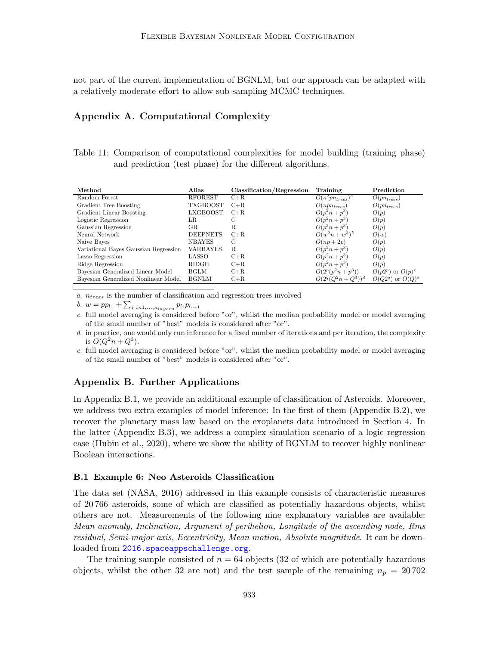not part of the current implementation of BGNLM, but our approach can be adapted with a relatively moderate effort to allow sub-sampling MCMC techniques.

## Appendix A. Computational Complexity

Table 11: Comparison of computational complexities for model building (training phase) and prediction (test phase) for the different algorithms.

| Method                                | Alias           | Classification/Regression | Training             | Prediction            |
|---------------------------------------|-----------------|---------------------------|----------------------|-----------------------|
| Random Forest                         | <b>RFOREST</b>  | $C + R$                   | $O(n^2pn_{trees})^a$ | $O(pn_{trees})$       |
| Gradient Tree Boosting                | <b>TXGBOOST</b> | $C+R$                     | $O(npn_{trees})$     | $O(pn_{trees})$       |
| Gradient Linear Boosting              | <b>LXGBOOST</b> | $C+R$                     | $O(p^2n+p^3)$        | O(p)                  |
| Logistic Regression                   | LR              | С                         | $O(p^2n+p^3)$        | O(p)                  |
| Gaussian Regression                   | GR              | R                         | $O(p^2n+p^3)$        | O(p)                  |
| Neural Network                        | <b>DEEPNETS</b> | $C + R$                   | $O(w^2n + w^3)^b$    | O(w)                  |
| Naive Bayes                           | <b>NBAYES</b>   | C                         | $O(np+2p)$           | O(p)                  |
| Variational Bayes Gaussian Regression | VARBAYES        | R.                        | $O(p^2n+p^3)$        | O(p)                  |
| Lasso Regression                      | LASSO           | $C + R$                   | $O(p^2n+p^3)$        | O(p)                  |
| Ridge Regression                      | RIDGE           | $C + R$                   | $O(p^2n+p^3)$        | O(p)                  |
| Bayesian Generalized Linear Model     | <b>BGLM</b>     | $C+R$                     | $O(2^p(p^2n+p^3))$   | $O(p2^p)$ or $O(p)^c$ |
| Bayesian Generalized Nonlinear Model  | <b>BGNLM</b>    | $C+R$                     | $O(2^q(Q^2n+Q^3))^d$ | $O(Q2^q)$ or $O(Q)^e$ |

 $a. n_{trees}$  is the number of classification and regression trees involved

b.  $w = pp_{l_1} + \sum_{i \ in 1,...,n_{layers}} p_{l_i} p_{l_{i+1}}$ 

c. full model averaging is considered before "or", whilst the median probability model or model averaging of the small number of "best" models is considered after "or".

d. in practice, one would only run inference for a fixed number of iterations and per iteration, the complexity is  $O(Q^2n + Q^3)$ .

e. full model averaging is considered before "or", whilst the median probability model or model averaging of the small number of "best" models is considered after "or".

## Appendix B. Further Applications

In Appendix B.1, we provide an additional example of classification of Asteroids. Moreover, we address two extra examples of model inference: In the first of them (Appendix B.2), we recover the planetary mass law based on the exoplanets data introduced in Section 4. In the latter (Appendix B.3), we address a complex simulation scenario of a logic regression case (Hubin et al., 2020), where we show the ability of BGNLM to recover highly nonlinear Boolean interactions.

#### B.1 Example 6: Neo Asteroids Classification

The data set (NASA, 2016) addressed in this example consists of characteristic measures of 20 766 asteroids, some of which are classified as potentially hazardous objects, whilst others are not. Measurements of the following nine explanatory variables are available: Mean anomaly, Inclination, Argument of perihelion, Longitude of the ascending node, Rms residual, Semi-major axis, Eccentricity, Mean motion, Absolute magnitude. It can be down-loaded from <2016.spaceappschallenge.org>.

The training sample consisted of  $n = 64$  objects (32 of which are potentially hazardous objects, whilst the other 32 are not) and the test sample of the remaining  $n_p = 20702$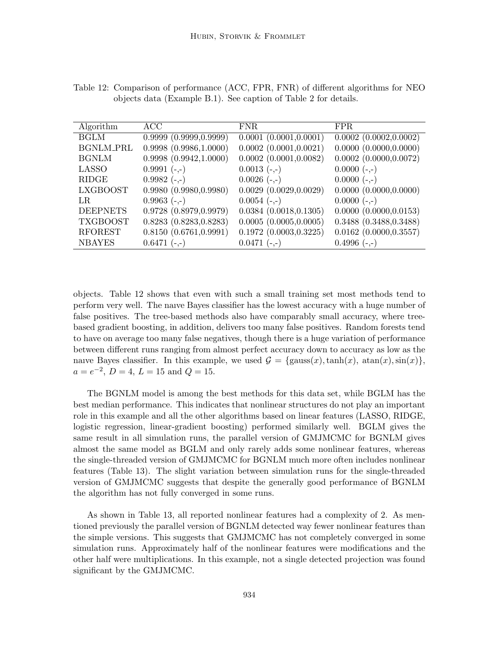| Algorithm        | ACC                    | <b>FNR</b>                  | FPR.                        |
|------------------|------------------------|-----------------------------|-----------------------------|
| <b>BGLM</b>      | 0.9999(0.9999, 0.9999) | 0.0001(0.0001, 0.0001)      | $0.0002$ $(0.0002, 0.0002)$ |
| <b>BGNLM_PRL</b> | 0.9998(0.9986, 1.0000) | $0.0002$ $(0.0001, 0.0021)$ | 0.0000 (0.0000, 0.0000)     |
| <b>BGNLM</b>     | 0.9998(0.9942, 1.0000) | $0.0002$ $(0.0001, 0.0082)$ | $0.0002$ $(0.0000, 0.0072)$ |
| LASSO            | $0.9991(-,-)$          | $0.0013(-,-)$               | $0.0000 (-,-)$              |
| RIDGE            | $0.9982 (-,-)$         | $0.0026(-,-)$               | $0.0000 (-,-)$              |
| <b>LXGBOOST</b>  | 0.9980(0.9980, 0.9980) | 0.0029(0.0029, 0.0029)      | 0.0000 (0.0000, 0.0000)     |
| LR.              | $0.9963$ (-,-)         | $0.0054(-,-)$               | $0.0000 (-,-)$              |
| <b>DEEPNETS</b>  | 0.9728(0.8979, 0.9979) | 0.0384(0.0018, 0.1305)      | 0.0000 (0.0000, 0.0153)     |
| <b>TXGBOOST</b>  | 0.8283(0.8283, 0.8283) | 0.0005(0.0005, 0.0005)      | 0.3488(0.3488, 0.3488)      |
| <b>RFOREST</b>   | 0.8150(0.6761, 0.9991) | 0.1972(0.0003, 0.3225)      | $0.0162$ $(0.0000, 0.3557)$ |
| <b>NBAYES</b>    | $0.6471(-,-)$          | $0.0471(-,-)$               | $0.4996(-,-)$               |

Table 12: Comparison of performance (ACC, FPR, FNR) of different algorithms for NEO objects data (Example B.1). See caption of Table 2 for details.

objects. Table 12 shows that even with such a small training set most methods tend to perform very well. The naıve Bayes classifier has the lowest accuracy with a huge number of false positives. The tree-based methods also have comparably small accuracy, where treebased gradient boosting, in addition, delivers too many false positives. Random forests tend to have on average too many false negatives, though there is a huge variation of performance between different runs ranging from almost perfect accuracy down to accuracy as low as the naive Bayes classifier. In this example, we used  $\mathcal{G} = {\text{gauss}(x), \text{tanh}(x), \text{atan}(x), \text{sin}(x)}$ ,  $a = e^{-2}$ ,  $D = 4$ ,  $L = 15$  and  $Q = 15$ .

The BGNLM model is among the best methods for this data set, while BGLM has the best median performance. This indicates that nonlinear structures do not play an important role in this example and all the other algorithms based on linear features (LASSO, RIDGE, logistic regression, linear-gradient boosting) performed similarly well. BGLM gives the same result in all simulation runs, the parallel version of GMJMCMC for BGNLM gives almost the same model as BGLM and only rarely adds some nonlinear features, whereas the single-threaded version of GMJMCMC for BGNLM much more often includes nonlinear features (Table 13). The slight variation between simulation runs for the single-threaded version of GMJMCMC suggests that despite the generally good performance of BGNLM the algorithm has not fully converged in some runs.

As shown in Table 13, all reported nonlinear features had a complexity of 2. As mentioned previously the parallel version of BGNLM detected way fewer nonlinear features than the simple versions. This suggests that GMJMCMC has not completely converged in some simulation runs. Approximately half of the nonlinear features were modifications and the other half were multiplications. In this example, not a single detected projection was found significant by the GMJMCMC.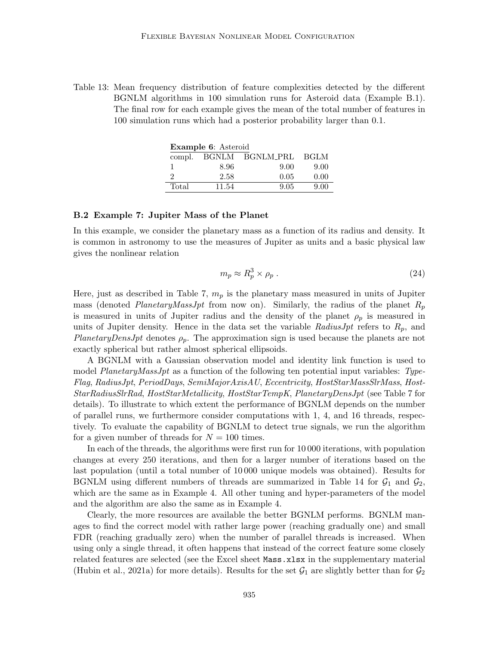Table 13: Mean frequency distribution of feature complexities detected by the different BGNLM algorithms in 100 simulation runs for Asteroid data (Example B.1). The final row for each example gives the mean of the total number of features in 100 simulation runs which had a posterior probability larger than 0.1.

| Example 6: Asteroid |       |                             |      |  |
|---------------------|-------|-----------------------------|------|--|
|                     |       | compl. BGNLM BGNLM_PRL BGLM |      |  |
|                     | 8.96  | 9.00                        | 9.00 |  |
|                     | 2.58  | 0.05                        | 0.00 |  |
| Total               | 11.54 | 9.05                        | 9.00 |  |

#### B.2 Example 7: Jupiter Mass of the Planet

In this example, we consider the planetary mass as a function of its radius and density. It is common in astronomy to use the measures of Jupiter as units and a basic physical law gives the nonlinear relation

$$
m_p \approx R_p^3 \times \rho_p \ . \tag{24}
$$

Here, just as described in Table 7,  $m_p$  is the planetary mass measured in units of Jupiter mass (denoted PlanetaryMassJpt from now on). Similarly, the radius of the planet  $R_p$ is measured in units of Jupiter radius and the density of the planet  $\rho_p$  is measured in units of Jupiter density. Hence in the data set the variable RadiusJpt refers to  $R_p$ , and PlanetaryDensJpt denotes  $\rho_p$ . The approximation sign is used because the planets are not exactly spherical but rather almost spherical ellipsoids.

A BGNLM with a Gaussian observation model and identity link function is used to model PlanetaryMassJpt as a function of the following ten potential input variables: Type-Flag, RadiusJpt, PeriodDays, SemiMajorAxisAU, Eccentricity, HostStarMassSlrMass, Host-StarRadiusSlrRad, HostStarMetallicity, HostStarTempK, PlanetaryDensJpt (see Table 7 for details). To illustrate to which extent the performance of BGNLM depends on the number of parallel runs, we furthermore consider computations with 1, 4, and 16 threads, respectively. To evaluate the capability of BGNLM to detect true signals, we run the algorithm for a given number of threads for  $N = 100$  times.

In each of the threads, the algorithms were first run for 10 000 iterations, with population changes at every 250 iterations, and then for a larger number of iterations based on the last population (until a total number of 10 000 unique models was obtained). Results for BGNLM using different numbers of threads are summarized in Table 14 for  $\mathcal{G}_1$  and  $\mathcal{G}_2$ , which are the same as in Example 4. All other tuning and hyper-parameters of the model and the algorithm are also the same as in Example 4.

Clearly, the more resources are available the better BGNLM performs. BGNLM manages to find the correct model with rather large power (reaching gradually one) and small FDR (reaching gradually zero) when the number of parallel threads is increased. When using only a single thread, it often happens that instead of the correct feature some closely related features are selected (see the Excel sheet Mass.xlsx in the supplementary material (Hubin et al., 2021a) for more details). Results for the set  $G_1$  are slightly better than for  $G_2$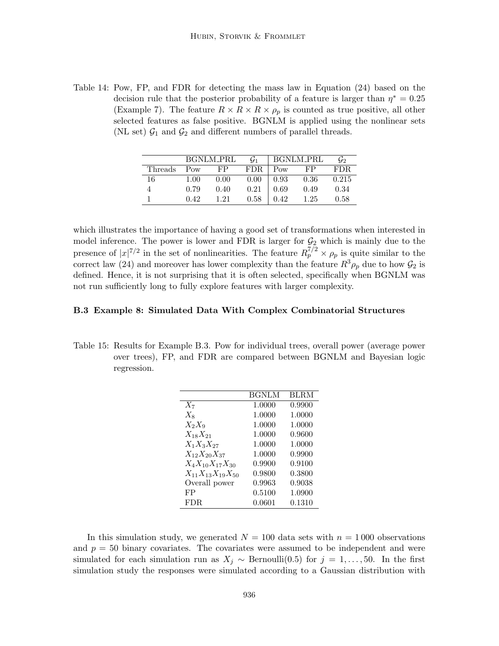Table 14: Pow, FP, and FDR for detecting the mass law in Equation (24) based on the decision rule that the posterior probability of a feature is larger than  $\eta^* = 0.25$ (Example 7). The feature  $R \times R \times R \times \rho_p$  is counted as true positive, all other selected features as false positive. BGNLM is applied using the nonlinear sets (NL set)  $\mathcal{G}_1$  and  $\mathcal{G}_2$  and different numbers of parallel threads.

|         |      | BGNLM_PRL | $\mathcal{G}_1$ |      | BGNLM_PRL | G2    |
|---------|------|-----------|-----------------|------|-----------|-------|
| Threads | Pow  | FP        | FDR.            | Pow  | FP        | FDR.  |
| 16      | 1.00 | 0.00      | 0.00            | 0.93 | 0.36      | 0.215 |
|         | 0.79 | 0.40      | 0.21            | 0.69 | 0.49      | 0.34  |
|         | 0.42 | 1 21      | 0.58            | 0.42 | 1.25      | 0.58  |

which illustrates the importance of having a good set of transformations when interested in model inference. The power is lower and FDR is larger for  $\mathcal{G}_2$  which is mainly due to the presence of  $|x|^{7/2}$  in the set of nonlinearities. The feature  $R_p^{7/2} \times \rho_p$  is quite similar to the correct law (24) and moreover has lower complexity than the feature  $R^3 \rho_p$  due to how  $\mathcal{G}_2$  is defined. Hence, it is not surprising that it is often selected, specifically when BGNLM was not run sufficiently long to fully explore features with larger complexity.

#### B.3 Example 8: Simulated Data With Complex Combinatorial Structures

Table 15: Results for Example B.3. Pow for individual trees, overall power (average power over trees), FP, and FDR are compared between BGNLM and Bayesian logic regression.

|                            | <b>BGNLM</b> | <b>BLRM</b> |
|----------------------------|--------------|-------------|
| $X_7$                      | 1.0000       | 0.9900      |
| $X_8$                      | 1.0000       | 1.0000      |
| $X_2X_9$                   | 1.0000       | 1.0000      |
| $X_{18}X_{21}$             | 1.0000       | 0.9600      |
| $X_1X_3X_{27}$             | 1.0000       | 1.0000      |
| $X_{12}X_{20}X_{37}$       | 1.0000       | 0.9900      |
| $X_4X_{10}X_{17}X_{30}$    | 0.9900       | 0.9100      |
| $X_{11}X_{13}X_{19}X_{50}$ | 0.9800       | 0.3800      |
| Overall power              | 0.9963       | 0.9038      |
| FP                         | 0.5100       | 1.0900      |
| <b>FDR</b>                 | 0.0601       | 0.1310      |

In this simulation study, we generated  $N = 100$  data sets with  $n = 1000$  observations and  $p = 50$  binary covariates. The covariates were assumed to be independent and were simulated for each simulation run as  $X_j \sim \text{Bernoulli}(0.5)$  for  $j = 1, \ldots, 50$ . In the first simulation study the responses were simulated according to a Gaussian distribution with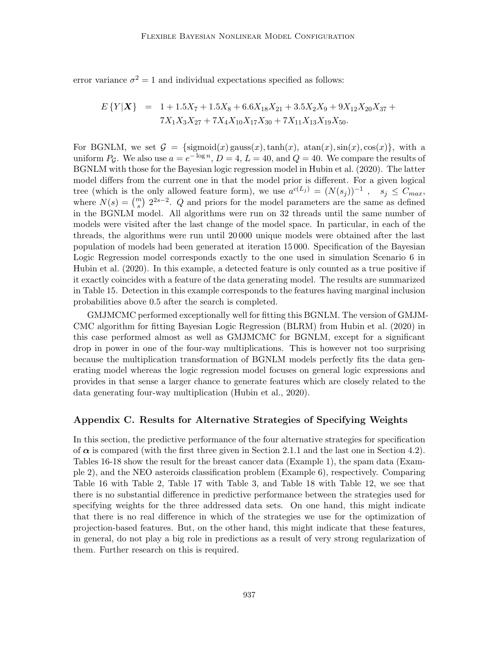error variance  $\sigma^2 = 1$  and individual expectations specified as follows:

$$
E\{Y|X\} = 1 + 1.5X_7 + 1.5X_8 + 6.6X_{18}X_{21} + 3.5X_2X_9 + 9X_{12}X_{20}X_{37} + 7X_1X_3X_{27} + 7X_4X_{10}X_{17}X_{30} + 7X_{11}X_{13}X_{19}X_{50}.
$$

For BGNLM, we set  $\mathcal{G} = {\text{sigmoid}(x) \text{ gauss}(x), \text{tanh}(x), \text{atan}(x), \text{sin}(x), \text{cos}(x)},$  with a uniform  $P_g$ . We also use  $a = e^{-\log n}$ ,  $D = 4$ ,  $L = 40$ , and  $Q = 40$ . We compare the results of BGNLM with those for the Bayesian logic regression model in Hubin et al. (2020). The latter model differs from the current one in that the model prior is different. For a given logical tree (which is the only allowed feature form), we use  $a^{c(L_j)} = (N(s_j))^{-1}$ ,  $s_j \leq C_{max}$ , where  $N(s) = \binom{m}{s} 2^{2s-2}$ . Q and priors for the model parameters are the same as defined in the BGNLM model. All algorithms were run on 32 threads until the same number of models were visited after the last change of the model space. In particular, in each of the threads, the algorithms were run until 20 000 unique models were obtained after the last population of models had been generated at iteration 15 000. Specification of the Bayesian Logic Regression model corresponds exactly to the one used in simulation Scenario 6 in Hubin et al. (2020). In this example, a detected feature is only counted as a true positive if it exactly coincides with a feature of the data generating model. The results are summarized in Table 15. Detection in this example corresponds to the features having marginal inclusion probabilities above 0.5 after the search is completed.

GMJMCMC performed exceptionally well for fitting this BGNLM. The version of GMJM-CMC algorithm for fitting Bayesian Logic Regression (BLRM) from Hubin et al. (2020) in this case performed almost as well as GMJMCMC for BGNLM, except for a significant drop in power in one of the four-way multiplications. This is however not too surprising because the multiplication transformation of BGNLM models perfectly fits the data generating model whereas the logic regression model focuses on general logic expressions and provides in that sense a larger chance to generate features which are closely related to the data generating four-way multiplication (Hubin et al., 2020).

#### Appendix C. Results for Alternative Strategies of Specifying Weights

In this section, the predictive performance of the four alternative strategies for specification of  $\alpha$  is compared (with the first three given in Section 2.1.1 and the last one in Section 4.2). Tables 16-18 show the result for the breast cancer data (Example 1), the spam data (Example 2), and the NEO asteroids classification problem (Example 6), respectively. Comparing Table 16 with Table 2, Table 17 with Table 3, and Table 18 with Table 12, we see that there is no substantial difference in predictive performance between the strategies used for specifying weights for the three addressed data sets. On one hand, this might indicate that there is no real difference in which of the strategies we use for the optimization of projection-based features. But, on the other hand, this might indicate that these features, in general, do not play a big role in predictions as a result of very strong regularization of them. Further research on this is required.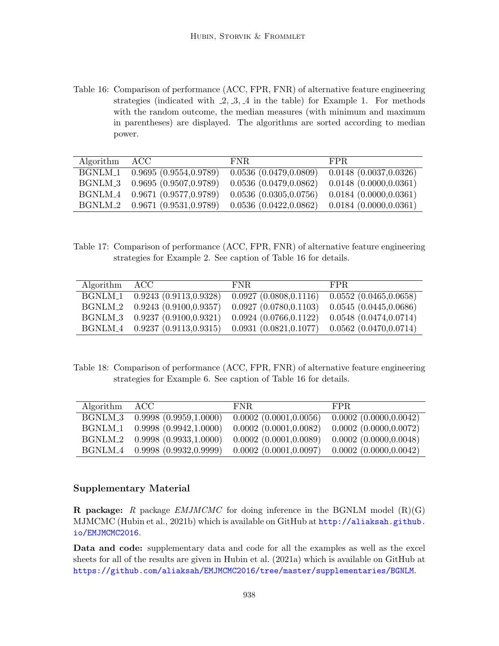Table 16: Comparison of performance (ACC, FPR, FNR) of alternative feature engineering strategies (indicated with  $-2, -3, -4$  in the table) for Example 1. For methods with the random outcome, the median measures (with minimum and maximum in parentheses) are displayed. The algorithms are sorted according to median power.

| Algorithm ACC |                                            | FNR.                   | FPR.                   |
|---------------|--------------------------------------------|------------------------|------------------------|
|               | BGNLM <sub>-1</sub> 0.9695 (0.9554,0.9789) | 0.0536(0.0479, 0.0809) | 0.0148(0.0037, 0.0326) |
|               | BGNLM_3 0.9695 (0.9507,0.9789)             | 0.0536(0.0479, 0.0862) | 0.0148(0.0000, 0.0361) |
|               | BGNLM <sub>-4</sub> 0.9671 (0.9577,0.9789) | 0.0536(0.0305, 0.0756) | 0.0184(0.0000, 0.0361) |
|               | BGNLM <sub>-2</sub> 0.9671 (0.9531,0.9789) | 0.0536(0.0422, 0.0862) | 0.0184(0.0000, 0.0361) |

Table 17: Comparison of performance (ACC, FPR, FNR) of alternative feature engineering strategies for Example 2. See caption of Table 16 for details.

| Algorithm | – ACC                                      | FNR.                   | FPR.                        |
|-----------|--------------------------------------------|------------------------|-----------------------------|
|           | BGNLM <sub>-1</sub> 0.9243 (0.9113,0.9328) | 0.0927(0.0808, 0.1116) | 0.0552(0.0465, 0.0658)      |
|           | BGNLM <sub>-2</sub> 0.9243 (0.9100,0.9357) | 0.0927(0.0780, 0.1103) | 0.0545(0.0445, 0.0686)      |
|           | BGNLM_3 0.9237 (0.9100,0.9321)             | 0.0924(0.0766, 0.1122) | $0.0548$ $(0.0474, 0.0714)$ |
|           | BGNLM_4 0.9237 (0.9113,0.9315)             | 0.0931(0.0821, 0.1077) | 0.0562(0.0470, 0.0714)      |

Table 18: Comparison of performance (ACC, FPR, FNR) of alternative feature engineering strategies for Example 6. See caption of Table 16 for details.

| Algorithm | – ACC –                                    | FNR.                        | FPR.                        |
|-----------|--------------------------------------------|-----------------------------|-----------------------------|
|           | BGNLM_3 0.9998 (0.9959,1.0000)             | $0.0002$ $(0.0001, 0.0056)$ | $0.0002$ $(0.0000, 0.0042)$ |
|           | BGNLM <sub>-1</sub> 0.9998 (0.9942,1.0000) | $0.0002$ $(0.0001, 0.0082)$ | $0.0002$ $(0.0000, 0.0072)$ |
|           | BGNLM_2 0.9998 (0.9933,1.0000)             | $0.0002$ $(0.0001, 0.0089)$ | $0.0002$ $(0.0000, 0.0048)$ |
|           | BGNLM <sub>-4</sub> 0.9998 (0.9932,0.9999) | $0.0002$ $(0.0001, 0.0097)$ | $0.0002$ $(0.0000, 0.0042)$ |

## Supplementary Material

**R** package: R package *EMJMCMC* for doing inference in the BGNLM model  $(R)(G)$ MJMCMC (Hubin et al., 2021b) which is available on GitHub at [http://aliaksah.github.](http://aliaksah.github.io/EMJMCMC2016) [io/EMJMCMC2016](http://aliaksah.github.io/EMJMCMC2016).

Data and code: supplementary data and code for all the examples as well as the excel sheets for all of the results are given in Hubin et al. (2021a) which is available on GitHub at <https://github.com/aliaksah/EMJMCMC2016/tree/master/supplementaries/BGNLM>.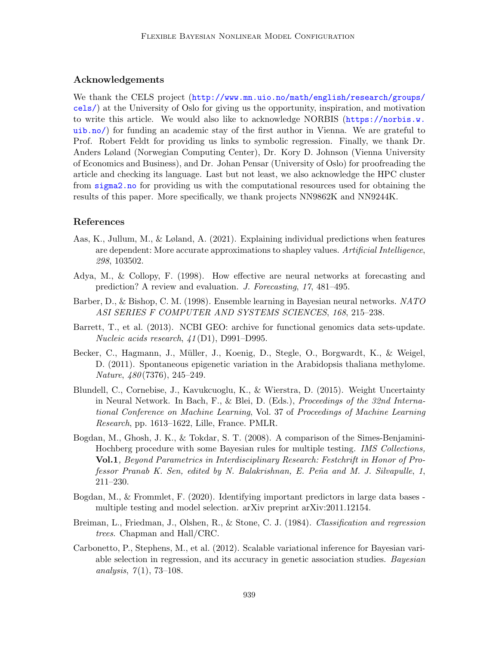## Acknowledgements

We thank the CELS project ([http://www.mn.uio.no/math/english/research/groups/](http://www.mn.uio.no/math/english/research/groups/cels/) [cels/](http://www.mn.uio.no/math/english/research/groups/cels/)) at the University of Oslo for giving us the opportunity, inspiration, and motivation to write this article. We would also like to acknowledge NORBIS ([https://norbis.w.](https://norbis.w.uib.no/) [uib.no/](https://norbis.w.uib.no/)) for funding an academic stay of the first author in Vienna. We are grateful to Prof. Robert Feldt for providing us links to symbolic regression. Finally, we thank Dr. Anders Løland (Norwegian Computing Center), Dr. Kory D. Johnson (Vienna University of Economics and Business), and Dr. Johan Pensar (University of Oslo) for proofreading the article and checking its language. Last but not least, we also acknowledge the HPC cluster from <sigma2.no> for providing us with the computational resources used for obtaining the results of this paper. More specifically, we thank projects NN9862K and NN9244K.

### References

- Aas, K., Jullum, M., & Løland, A. (2021). Explaining individual predictions when features are dependent: More accurate approximations to shapley values. Artificial Intelligence, 298, 103502.
- Adya, M., & Collopy, F. (1998). How effective are neural networks at forecasting and prediction? A review and evaluation. J. Forecasting, 17, 481–495.
- Barber, D., & Bishop, C. M. (1998). Ensemble learning in Bayesian neural networks. NATO ASI SERIES F COMPUTER AND SYSTEMS SCIENCES, 168, 215–238.
- Barrett, T., et al. (2013). NCBI GEO: archive for functional genomics data sets-update. Nucleic acids research, 41 (D1), D991–D995.
- Becker, C., Hagmann, J., M¨uller, J., Koenig, D., Stegle, O., Borgwardt, K., & Weigel, D. (2011). Spontaneous epigenetic variation in the Arabidopsis thaliana methylome. Nature, 480 (7376), 245–249.
- Blundell, C., Cornebise, J., Kavukcuoglu, K., & Wierstra, D. (2015). Weight Uncertainty in Neural Network. In Bach, F., & Blei, D. (Eds.), Proceedings of the 32nd International Conference on Machine Learning, Vol. 37 of Proceedings of Machine Learning Research, pp. 1613–1622, Lille, France. PMLR.
- Bogdan, M., Ghosh, J. K., & Tokdar, S. T. (2008). A comparison of the Simes-Benjamini-Hochberg procedure with some Bayesian rules for multiple testing. IMS Collections, Vol.1, Beyond Parametrics in Interdisciplinary Research: Festchrift in Honor of Professor Pranab K. Sen, edited by N. Balakrishnan, E. Peña and M. J. Silvapulle, 1, 211–230.
- Bogdan, M., & Frommlet, F. (2020). Identifying important predictors in large data bases multiple testing and model selection. arXiv preprint arXiv:2011.12154.
- Breiman, L., Friedman, J., Olshen, R., & Stone, C. J. (1984). Classification and regression trees. Chapman and Hall/CRC.
- Carbonetto, P., Stephens, M., et al. (2012). Scalable variational inference for Bayesian variable selection in regression, and its accuracy in genetic association studies. Bayesian analysis,  $7(1)$ , 73–108.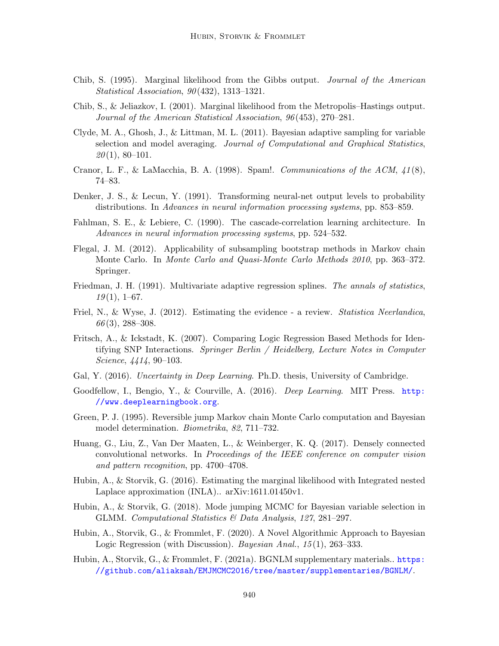- Chib, S. (1995). Marginal likelihood from the Gibbs output. Journal of the American Statistical Association, 90 (432), 1313–1321.
- Chib, S., & Jeliazkov, I. (2001). Marginal likelihood from the Metropolis–Hastings output. Journal of the American Statistical Association, 96 (453), 270–281.
- Clyde, M. A., Ghosh, J., & Littman, M. L. (2011). Bayesian adaptive sampling for variable selection and model averaging. Journal of Computational and Graphical Statistics,  $20(1), 80-101.$
- Cranor, L. F., & LaMacchia, B. A. (1998). Spam!. Communications of the ACM,  $41(8)$ , 74–83.
- Denker, J. S., & Lecun, Y. (1991). Transforming neural-net output levels to probability distributions. In Advances in neural information processing systems, pp. 853–859.
- Fahlman, S. E., & Lebiere, C. (1990). The cascade-correlation learning architecture. In Advances in neural information processing systems, pp. 524–532.
- Flegal, J. M. (2012). Applicability of subsampling bootstrap methods in Markov chain Monte Carlo. In Monte Carlo and Quasi-Monte Carlo Methods 2010, pp. 363–372. Springer.
- Friedman, J. H. (1991). Multivariate adaptive regression splines. The annals of statistics,  $19(1), 1–67.$
- Friel, N., & Wyse, J. (2012). Estimating the evidence a review. *Statistica Neerlandica*,  $66(3)$ , 288–308.
- Fritsch, A., & Ickstadt, K. (2007). Comparing Logic Regression Based Methods for Identifying SNP Interactions. Springer Berlin / Heidelberg, Lecture Notes in Computer Science, 4414, 90–103.
- Gal, Y. (2016). Uncertainty in Deep Learning. Ph.D. thesis, University of Cambridge.
- Goodfellow, I., Bengio, Y., & Courville, A. (2016). *Deep Learning*. MIT Press. [http:](http://www.deeplearningbook.org) [//www.deeplearningbook.org](http://www.deeplearningbook.org).
- Green, P. J. (1995). Reversible jump Markov chain Monte Carlo computation and Bayesian model determination. Biometrika, 82, 711–732.
- Huang, G., Liu, Z., Van Der Maaten, L., & Weinberger, K. Q. (2017). Densely connected convolutional networks. In Proceedings of the IEEE conference on computer vision and pattern recognition, pp. 4700–4708.
- Hubin, A., & Storvik, G. (2016). Estimating the marginal likelihood with Integrated nested Laplace approximation (INLA).. arXiv:1611.01450v1.
- Hubin, A., & Storvik, G. (2018). Mode jumping MCMC for Bayesian variable selection in GLMM. Computational Statistics & Data Analysis, 127, 281–297.
- Hubin, A., Storvik, G., & Frommlet, F. (2020). A Novel Algorithmic Approach to Bayesian Logic Regression (with Discussion). Bayesian Anal., 15(1), 263–333.
- Hubin, A., Storvik, G., & Frommlet, F. (2021a). BGNLM supplementary materials.. [https:](https://github.com/aliaksah/EMJMCMC2016/tree/master/supplementaries/BGNLM/) [//github.com/aliaksah/EMJMCMC2016/tree/master/supplementaries/BGNLM/](https://github.com/aliaksah/EMJMCMC2016/tree/master/supplementaries/BGNLM/).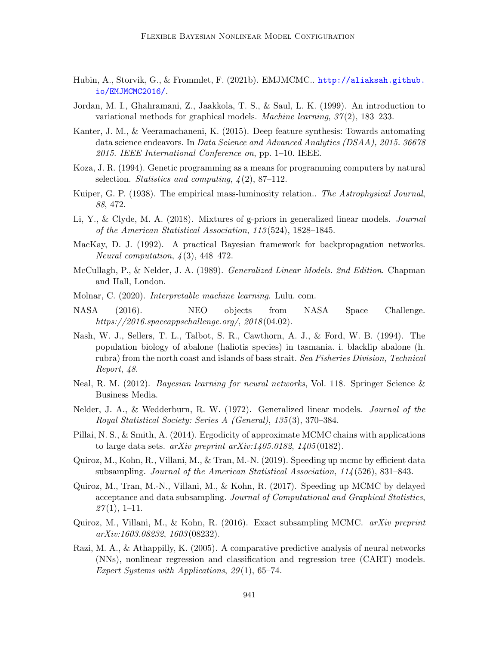- Hubin, A., Storvik, G., & Frommlet, F. (2021b). EMJMCMC.. [http://aliaksah.github.](http://aliaksah.github.io/EMJMCMC2016/) [io/EMJMCMC2016/](http://aliaksah.github.io/EMJMCMC2016/).
- Jordan, M. I., Ghahramani, Z., Jaakkola, T. S., & Saul, L. K. (1999). An introduction to variational methods for graphical models. Machine learning,  $37(2)$ , 183–233.
- Kanter, J. M., & Veeramachaneni, K. (2015). Deep feature synthesis: Towards automating data science endeavors. In Data Science and Advanced Analytics (DSAA), 2015. 36678 2015. IEEE International Conference on, pp. 1–10. IEEE.
- Koza, J. R. (1994). Genetic programming as a means for programming computers by natural selection. Statistics and computing,  $\frac{1}{2}$ , 87–112.
- Kuiper, G. P. (1938). The empirical mass-luminosity relation.. The Astrophysical Journal, 88, 472.
- Li, Y., & Clyde, M. A. (2018). Mixtures of g-priors in generalized linear models. Journal of the American Statistical Association, 113 (524), 1828–1845.
- MacKay, D. J. (1992). A practical Bayesian framework for backpropagation networks. Neural computation,  $\frac{1}{4}(3)$ , 448-472.
- McCullagh, P., & Nelder, J. A. (1989). *Generalized Linear Models. 2nd Edition*. Chapman and Hall, London.
- Molnar, C. (2020). Interpretable machine learning. Lulu. com.
- NASA (2016). NEO objects from NASA Space Challenge. https://2016.spaceappschallenge.org/,  $2018(04.02)$ .
- Nash, W. J., Sellers, T. L., Talbot, S. R., Cawthorn, A. J., & Ford, W. B. (1994). The population biology of abalone (haliotis species) in tasmania. i. blacklip abalone (h. rubra) from the north coast and islands of bass strait. Sea Fisheries Division, Technical Report, 48.
- Neal, R. M. (2012). *Bayesian learning for neural networks*, Vol. 118. Springer Science & Business Media.
- Nelder, J. A., & Wedderburn, R. W. (1972). Generalized linear models. Journal of the Royal Statistical Society: Series A (General), 135 (3), 370–384.
- Pillai, N. S., & Smith, A. (2014). Ergodicity of approximate MCMC chains with applications to large data sets.  $arXiv$  preprint  $arXiv:1405.0182$ ,  $1405(0182)$ .
- Quiroz, M., Kohn, R., Villani, M., & Tran, M.-N. (2019). Speeding up mcmc by efficient data subsampling. Journal of the American Statistical Association, 114 (526), 831–843.
- Quiroz, M., Tran, M.-N., Villani, M., & Kohn, R. (2017). Speeding up MCMC by delayed acceptance and data subsampling. Journal of Computational and Graphical Statistics,  $27(1), 1-11.$
- Quiroz, M., Villani, M., & Kohn, R. (2016). Exact subsampling MCMC.  $arXiv$  preprint arXiv:1603.08232, 1603 (08232).
- Razi, M. A., & Athappilly, K. (2005). A comparative predictive analysis of neural networks (NNs), nonlinear regression and classification and regression tree (CART) models. Expert Systems with Applications, 29 (1), 65–74.